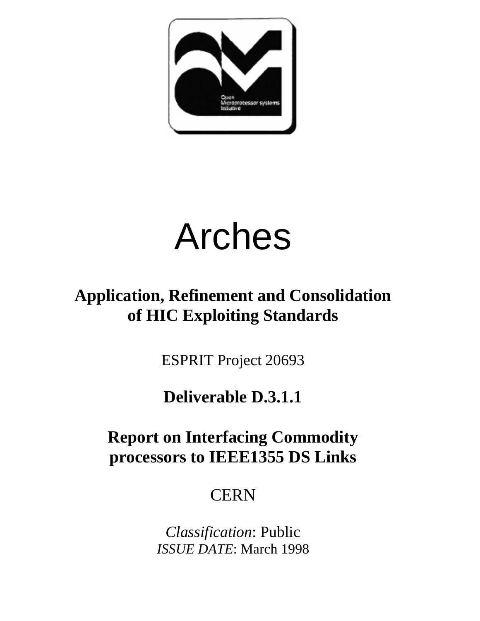

# Arches

# **Application, Refinement and Consolidation of HIC Exploiting Standards**

ESPRIT Project 20693

# **Deliverable D.3.1.1**

# **Report on Interfacing Commodity processors to IEEE1355 DS Links**

# **CERN**

*Classification*: Public *ISSUE DATE*: March 1998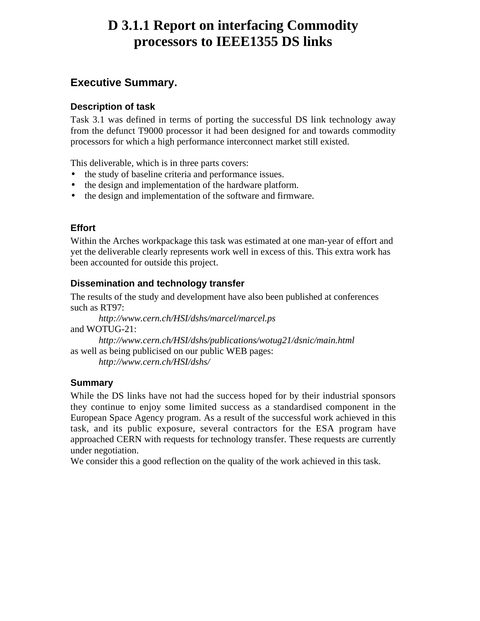# **D 3.1.1 Report on interfacing Commodity processors to IEEE1355 DS links**

# **Executive Summary.**

# **Description of task**

Task 3.1 was defined in terms of porting the successful DS link technology away from the defunct T9000 processor it had been designed for and towards commodity processors for which a high performance interconnect market still existed.

This deliverable, which is in three parts covers:

- the study of baseline criteria and performance issues.
- the design and implementation of the hardware platform.
- the design and implementation of the software and firmware.

# **Effort**

Within the Arches workpackage this task was estimated at one man-year of effort and yet the deliverable clearly represents work well in excess of this. This extra work has been accounted for outside this project.

# **Dissemination and technology transfer**

The results of the study and development have also been published at conferences such as RT97:

*http://www.cern.ch/HSI/dshs/marcel/marcel.ps* and WOTUG-21: *http://www.cern.ch/HSI/dshs/publications/wotug21/dsnic/main.html* as well as being publicised on our public WEB pages: *http://www.cern.ch/HSI/dshs/*

**Summary**

While the DS links have not had the success hoped for by their industrial sponsors they continue to enjoy some limited success as a standardised component in the European Space Agency program. As a result of the successful work achieved in this task, and its public exposure, several contractors for the ESA program have approached CERN with requests for technology transfer. These requests are currently under negotiation.

We consider this a good reflection on the quality of the work achieved in this task.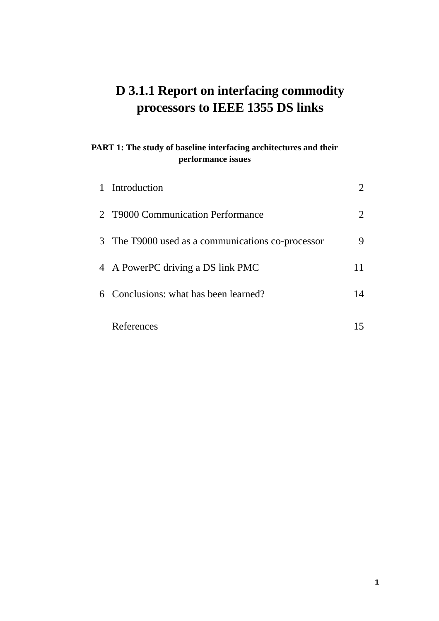# **D 3.1.1 Report on interfacing commodity processors to IEEE 1355 DS links**

# **PART 1: The study of baseline interfacing architectures and their performance issues**

| 1 Introduction                                    |    |
|---------------------------------------------------|----|
| 2 T9000 Communication Performance                 | 2  |
| 3 The T9000 used as a communications co-processor | 9  |
| 4 A PowerPC driving a DS link PMC                 |    |
| 6 Conclusions: what has been learned?             | 14 |
| References                                        |    |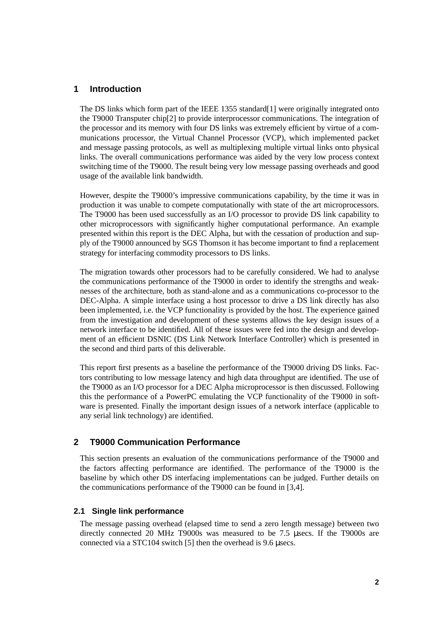#### **1 Introduction**

The DS links which form part of the IEEE 1355 standard[1] were originally integrated onto the T9000 Transputer chip[2] to provide interprocessor communications. The integration of the processor and its memory with four DS links was extremely efficient by virtue of a communications processor, the Virtual Channel Processor (VCP), which implemented packet and message passing protocols, as well as multiplexing multiple virtual links onto physical links. The overall communications performance was aided by the very low process context switching time of the T9000. The result being very low message passing overheads and good usage of the available link bandwidth.

However, despite the T9000's impressive communications capability, by the time it was in production it was unable to compete computationally with state of the art microprocessors. The T9000 has been used successfully as an I/O processor to provide DS link capability to other microprocessors with significantly higher computational performance. An example presented within this report is the DEC Alpha, but with the cessation of production and supply of the T9000 announced by SGS Thomson it has become important to find a replacement strategy for interfacing commodity processors to DS links.

The migration towards other processors had to be carefully considered. We had to analyse the communications performance of the T9000 in order to identify the strengths and weaknesses of the architecture, both as stand-alone and as a communications co-processor to the DEC-Alpha. A simple interface using a host processor to drive a DS link directly has also been implemented, i.e. the VCP functionality is provided by the host. The experience gained from the investigation and development of these systems allows the key design issues of a network interface to be identified. All of these issues were fed into the design and development of an efficient DSNIC (DS Link Network Interface Controller) which is presented in the second and third parts of this deliverable.

This report first presents as a baseline the performance of the T9000 driving DS links. Factors contributing to low message latency and high data throughput are identified. The use of the T9000 as an I/O processor for a DEC Alpha microprocessor is then discussed. Following this the performance of a PowerPC emulating the VCP functionality of the T9000 in software is presented. Finally the important design issues of a network interface (applicable to any serial link technology) are identified.

#### **2 T9000 Communication Performance**

This section presents an evaluation of the communications performance of the T9000 and the factors affecting performance are identified. The performance of the T9000 is the baseline by which other DS interfacing implementations can be judged. Further details on the communications performance of the T9000 can be found in [3,4].

#### **2.1 Single link performance**

The message passing overhead (elapsed time to send a zero length message) between two directly connected 20 MHz T9000s was measured to be 7.5 µsecs. If the T9000s are connected via a STC104 switch [5] then the overhead is 9.6 µsecs.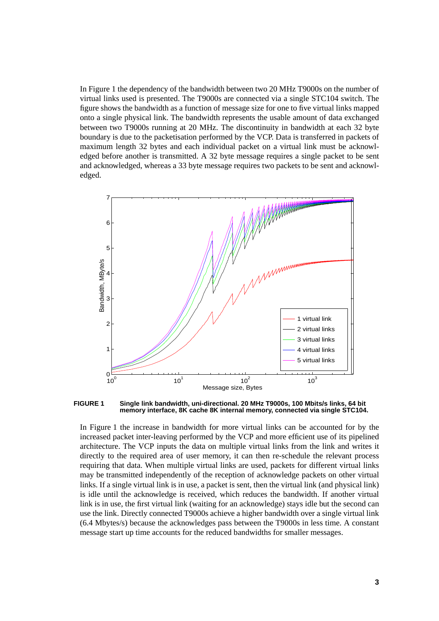In Figure 1 the dependency of the bandwidth between two 20 MHz T9000s on the number of virtual links used is presented. The T9000s are connected via a single STC104 switch. The figure shows the bandwidth as a function of message size for one to five virtual links mapped onto a single physical link. The bandwidth represents the usable amount of data exchanged between two T9000s running at 20 MHz. The discontinuity in bandwidth at each 32 byte boundary is due to the packetisation performed by the VCP. Data is transferred in packets of maximum length 32 bytes and each individual packet on a virtual link must be acknowledged before another is transmitted. A 32 byte message requires a single packet to be sent and acknowledged, whereas a 33 byte message requires two packets to be sent and acknowledged.



**FIGURE 1 Single link bandwidth, uni-directional. 20 MHz T9000s, 100 Mbits/s links, 64 bit memory interface, 8K cache 8K internal memory, connected via single STC104.**

In Figure 1 the increase in bandwidth for more virtual links can be accounted for by the increased packet inter-leaving performed by the VCP and more efficient use of its pipelined architecture. The VCP inputs the data on multiple virtual links from the link and writes it directly to the required area of user memory, it can then re-schedule the relevant process requiring that data. When multiple virtual links are used, packets for different virtual links may be transmitted independently of the reception of acknowledge packets on other virtual links. If a single virtual link is in use, a packet is sent, then the virtual link (and physical link) is idle until the acknowledge is received, which reduces the bandwidth. If another virtual link is in use, the first virtual link (waiting for an acknowledge) stays idle but the second can use the link. Directly connected T9000s achieve a higher bandwidth over a single virtual link (6.4 Mbytes/s) because the acknowledges pass between the T9000s in less time. A constant message start up time accounts for the reduced bandwidths for smaller messages.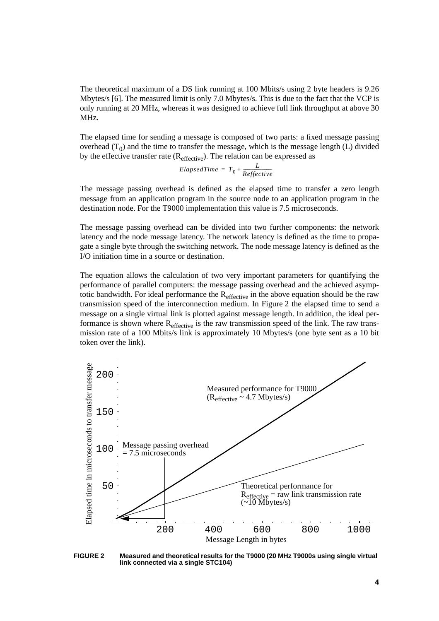The theoretical maximum of a DS link running at 100 Mbits/s using 2 byte headers is 9.26 Mbytes/s [6]. The measured limit is only 7.0 Mbytes/s. This is due to the fact that the VCP is only running at 20 MHz, whereas it was designed to achieve full link throughput at above 30 MHz.

The elapsed time for sending a message is composed of two parts: a fixed message passing overhead  $(T_0)$  and the time to transfer the message, which is the message length (L) divided by the effective transfer rate  $(R_{effective})$ . The relation can be expressed as

$$
El{}dTime = T_0 + \frac{L}{Reffective}
$$

The message passing overhead is defined as the elapsed time to transfer a zero length message from an application program in the source node to an application program in the destination node. For the T9000 implementation this value is 7.5 microseconds.

The message passing overhead can be divided into two further components: the network latency and the node message latency. The network latency is defined as the time to propagate a single byte through the switching network. The node message latency is defined as the I/O initiation time in a source or destination.

The equation allows the calculation of two very important parameters for quantifying the performance of parallel computers: the message passing overhead and the achieved asymptotic bandwidth. For ideal performance the  $R_{\text{effective}}$  in the above equation should be the raw transmission speed of the interconnection medium. In Figure 2 the elapsed time to send a message on a single virtual link is plotted against message length. In addition, the ideal performance is shown where R<sub>effective</sub> is the raw transmission speed of the link. The raw transmission rate of a 100 Mbits/s link is approximately 10 Mbytes/s (one byte sent as a 10 bit token over the link).



**FIGURE 2 Measured and theoretical results for the T9000 (20 MHz T9000s using single virtual link connected via a single STC104)**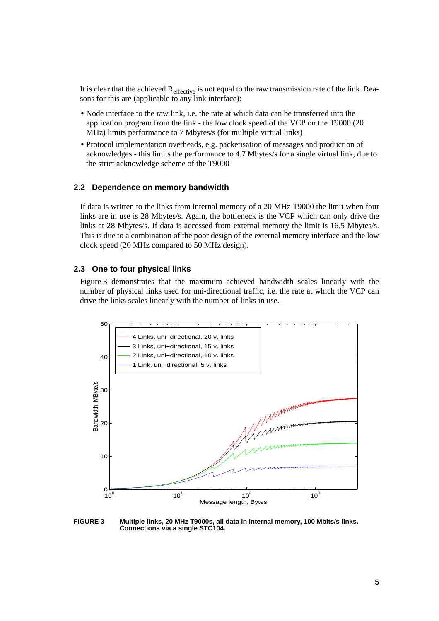It is clear that the achieved Reffective is not equal to the raw transmission rate of the link. Reasons for this are (applicable to any link interface):

- Node interface to the raw link, i.e. the rate at which data can be transferred into the application program from the link - the low clock speed of the VCP on the T9000 (20 MHz) limits performance to 7 Mbytes/s (for multiple virtual links)
- **•** Protocol implementation overheads, e.g. packetisation of messages and production of acknowledges - this limits the performance to 4.7 Mbytes/s for a single virtual link, due to the strict acknowledge scheme of the T9000

#### **2.2 Dependence on memory bandwidth**

If data is written to the links from internal memory of a 20 MHz T9000 the limit when four links are in use is 28 Mbytes/s. Again, the bottleneck is the VCP which can only drive the links at 28 Mbytes/s. If data is accessed from external memory the limit is 16.5 Mbytes/s. This is due to a combination of the poor design of the external memory interface and the low clock speed (20 MHz compared to 50 MHz design).

#### **2.3 One to four physical links**

Figure 3 demonstrates that the maximum achieved bandwidth scales linearly with the number of physical links used for uni-directional traffic, i.e. the rate at which the VCP can drive the links scales linearly with the number of links in use.



**FIGURE 3 Multiple links, 20 MHz T9000s, all data in internal memory, 100 Mbits/s links. Connections via a single STC104.**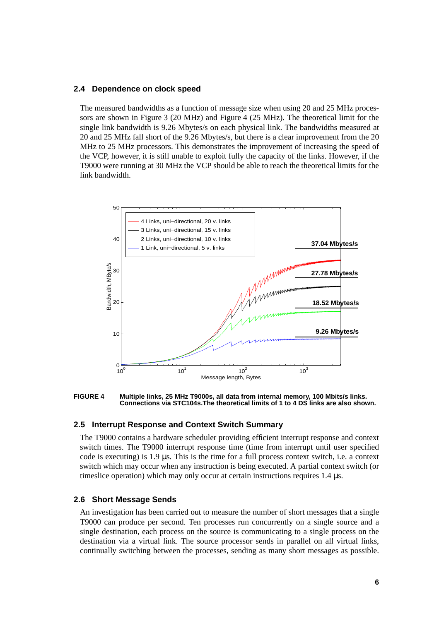#### **2.4 Dependence on clock speed**

The measured bandwidths as a function of message size when using 20 and 25 MHz processors are shown in Figure 3 (20 MHz) and Figure 4 (25 MHz). The theoretical limit for the single link bandwidth is 9.26 Mbytes/s on each physical link. The bandwidths measured at 20 and 25 MHz fall short of the 9.26 Mbytes/s, but there is a clear improvement from the 20 MHz to 25 MHz processors. This demonstrates the improvement of increasing the speed of the VCP, however, it is still unable to exploit fully the capacity of the links. However, if the T9000 were running at 30 MHz the VCP should be able to reach the theoretical limits for the link bandwidth.



**FIGURE 4 Multiple links, 25 MHz T9000s, all data from internal memory, 100 Mbits/s links. Connections via STC104s.The theoretical limits of 1 to 4 DS links are also shown.**

#### **2.5 Interrupt Response and Context Switch Summary**

The T9000 contains a hardware scheduler providing efficient interrupt response and context switch times. The T9000 interrupt response time (time from interrupt until user specified code is executing) is 1.9 µs. This is the time for a full process context switch, i.e. a context switch which may occur when any instruction is being executed. A partial context switch (or timeslice operation) which may only occur at certain instructions requires 1.4 µs.

#### **2.6 Short Message Sends**

An investigation has been carried out to measure the number of short messages that a single T9000 can produce per second. Ten processes run concurrently on a single source and a single destination, each process on the source is communicating to a single process on the destination via a virtual link. The source processor sends in parallel on all virtual links, continually switching between the processes, sending as many short messages as possible.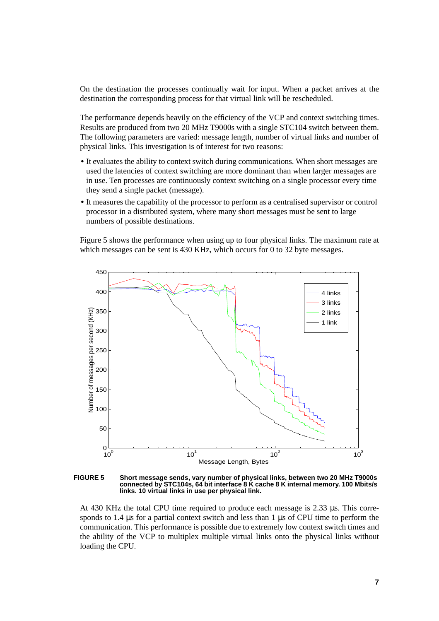On the destination the processes continually wait for input. When a packet arrives at the destination the corresponding process for that virtual link will be rescheduled.

The performance depends heavily on the efficiency of the VCP and context switching times. Results are produced from two 20 MHz T9000s with a single STC104 switch between them. The following parameters are varied: message length, number of virtual links and number of physical links. This investigation is of interest for two reasons:

- It evaluates the ability to context switch during communications. When short messages are used the latencies of context switching are more dominant than when larger messages are in use. Ten processes are continuously context switching on a single processor every time they send a single packet (message).
- It measures the capability of the processor to perform as a centralised supervisor or control processor in a distributed system, where many short messages must be sent to large numbers of possible destinations.

Figure 5 shows the performance when using up to four physical links. The maximum rate at which messages can be sent is 430 KHz, which occurs for 0 to 32 byte messages.



**FIGURE 5 Short message sends, vary number of physical links, between two 20 MHz T9000s connected by STC104s, 64 bit interface 8 K cache 8 K internal memory. 100 Mbits/s links. 10 virtual links in use per physical link.**

At 430 KHz the total CPU time required to produce each message is 2.33 µs. This corresponds to 1.4 us for a partial context switch and less than 1 us of CPU time to perform the communication. This performance is possible due to extremely low context switch times and the ability of the VCP to multiplex multiple virtual links onto the physical links without loading the CPU.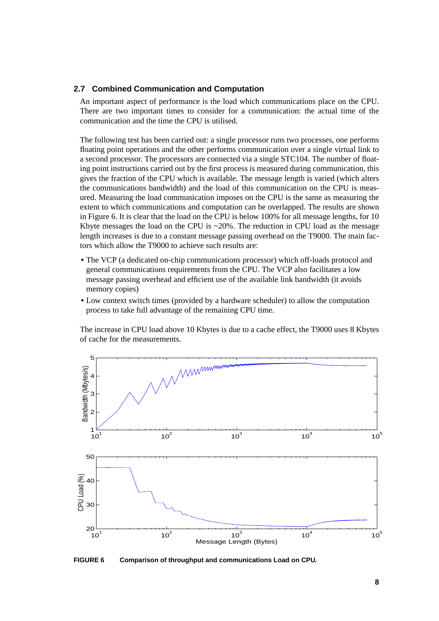#### **2.7 Combined Communication and Computation**

An important aspect of performance is the load which communications place on the CPU. There are two important times to consider for a communication: the actual time of the communication and the time the CPU is utilised.

The following test has been carried out: a single processor runs two processes, one performs floating point operations and the other performs communication over a single virtual link to a second processor. The processors are connected via a single STC104. The number of floating point instructions carried out by the first process is measured during communication, this gives the fraction of the CPU which is available. The message length is varied (which alters the communications bandwidth) and the load of this communication on the CPU is measured. Measuring the load communication imposes on the CPU is the same as measuring the extent to which communications and computation can be overlapped. The results are shown in Figure 6. It is clear that the load on the CPU is below 100% for all message lengths, for 10 Kbyte messages the load on the CPU is  $\sim$  20%. The reduction in CPU load as the message length increases is due to a constant message passing overhead on the T9000. The main factors which allow the T9000 to achieve such results are:

- **•** The VCP (a dedicated on-chip communications processor) which off-loads protocol and general communications requirements from the CPU. The VCP also facilitates a low message passing overhead and efficient use of the available link bandwidth (it avoids memory copies)
- **•** Low context switch times (provided by a hardware scheduler) to allow the computation process to take full advantage of the remaining CPU time.

The increase in CPU load above 10 Kbytes is due to a cache effect, the T9000 uses 8 Kbytes of cache for the measurements.



**FIGURE 6 Comparison of throughput and communications Load on CPU.**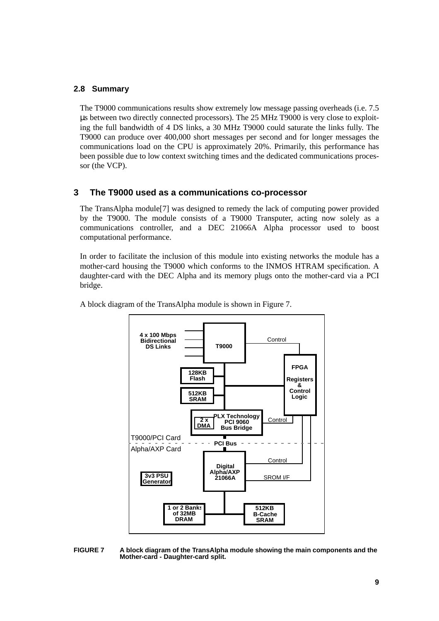#### **2.8 Summary**

The T9000 communications results show extremely low message passing overheads (i.e. 7.5 µs between two directly connected processors). The 25 MHz T9000 is very close to exploiting the full bandwidth of 4 DS links, a 30 MHz T9000 could saturate the links fully. The T9000 can produce over 400,000 short messages per second and for longer messages the communications load on the CPU is approximately 20%. Primarily, this performance has been possible due to low context switching times and the dedicated communications processor (the VCP).

#### **3 The T9000 used as a communications co-processor**

The TransAlpha module[7] was designed to remedy the lack of computing power provided by the T9000. The module consists of a T9000 Transputer, acting now solely as a communications controller, and a DEC 21066A Alpha processor used to boost computational performance.

In order to facilitate the inclusion of this module into existing networks the module has a mother-card housing the T9000 which conforms to the INMOS HTRAM specification. A daughter-card with the DEC Alpha and its memory plugs onto the mother-card via a PCI bridge.



A block diagram of the TransAlpha module is shown in Figure 7.

**FIGURE 7 A block diagram of the TransAlpha module showing the main components and the Mother-card - Daughter-card split.**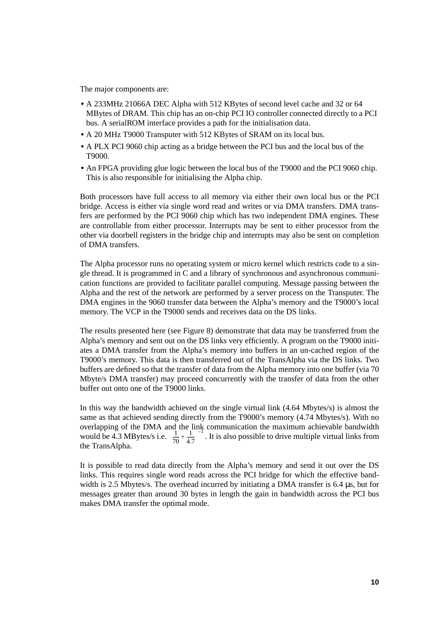The major components are:

- **•** A 233MHz 21066A DEC Alpha with 512 KBytes of second level cache and 32 or 64 MBytes of DRAM. This chip has an on-chip PCI IO controller connected directly to a PCI bus. A serialROM interface provides a path for the initialisation data.
- **•** A 20 MHz T9000 Transputer with 512 KBytes of SRAM on its local bus.
- **•** A PLX PCI 9060 chip acting as a bridge between the PCI bus and the local bus of the T9000.
- **•** An FPGA providing glue logic between the local bus of the T9000 and the PCI 9060 chip. This is also responsible for initialising the Alpha chip.

Both processors have full access to all memory via either their own local bus or the PCI bridge. Access is either via single word read and writes or via DMA transfers. DMA transfers are performed by the PCI 9060 chip which has two independent DMA engines. These are controllable from either processor. Interrupts may be sent to either processor from the other via doorbell registers in the bridge chip and interrupts may also be sent on completion of DMA transfers.

The Alpha processor runs no operating system or micro kernel which restricts code to a single thread. It is programmed in C and a library of synchronous and asynchronous communication functions are provided to facilitate parallel computing. Message passing between the Alpha and the rest of the network are performed by a server process on the Transputer. The DMA engines in the 9060 transfer data between the Alpha's memory and the T9000's local memory. The VCP in the T9000 sends and receives data on the DS links.

The results presented here (see Figure 8) demonstrate that data may be transferred from the Alpha's memory and sent out on the DS links very efficiently. A program on the T9000 initiates a DMA transfer from the Alpha's memory into buffers in an un-cached region of the T9000's memory. This data is then transferred out of the TransAlpha via the DS links. Two buffers are defined so that the transfer of data from the Alpha memory into one buffer (via 70 Mbyte/s DMA transfer) may proceed concurrently with the transfer of data from the other buffer out onto one of the T9000 links.

In this way the bandwidth achieved on the single virtual link (4.64 Mbytes/s) is almost the same as that achieved sending directly from the T9000's memory (4.74 Mbytes/s). With no overlapping of the DMA and the link communication the maximum achievable bandwidth would be 4.3 MBytes/s i.e.  $\left(\frac{1}{70} + \frac{1}{4.7}\right)^{-1}$ . It is also possible to drive multiple virtual links from the TransAlpha.

It is possible to read data directly from the Alpha's memory and send it out over the DS links. This requires single word reads across the PCI bridge for which the effective bandwidth is 2.5 Mbytes/s. The overhead incurred by initiating a DMA transfer is 6.4 µs, but for messages greater than around 30 bytes in length the gain in bandwidth across the PCI bus makes DMA transfer the optimal mode.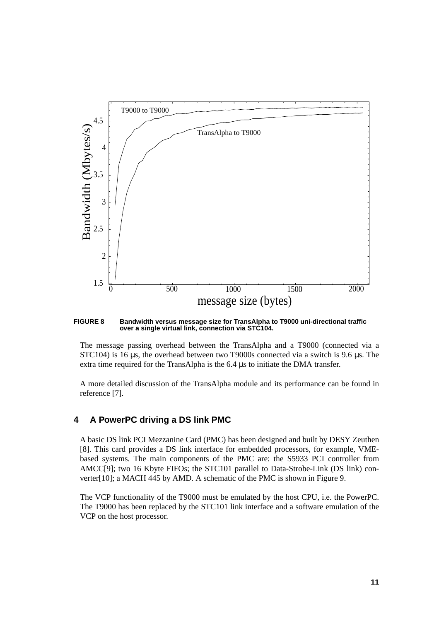

**FIGURE 8 Bandwidth versus message size for TransAlpha to T9000 uni-directional traffic over a single virtual link, connection via STC104.**

The message passing overhead between the TransAlpha and a T9000 (connected via a STC104) is 16 µs, the overhead between two T9000s connected via a switch is 9.6 µs. The extra time required for the TransAlpha is the 6.4 µs to initiate the DMA transfer.

A more detailed discussion of the TransAlpha module and its performance can be found in reference [7].

#### **4 A PowerPC driving a DS link PMC**

A basic DS link PCI Mezzanine Card (PMC) has been designed and built by DESY Zeuthen [8]. This card provides a DS link interface for embedded processors, for example, VMEbased systems. The main components of the PMC are: the S5933 PCI controller from AMCC[9]; two 16 Kbyte FIFOs; the STC101 parallel to Data-Strobe-Link (DS link) converter[10]; a MACH 445 by AMD. A schematic of the PMC is shown in Figure 9.

The VCP functionality of the T9000 must be emulated by the host CPU, i.e. the PowerPC. The T9000 has been replaced by the STC101 link interface and a software emulation of the VCP on the host processor.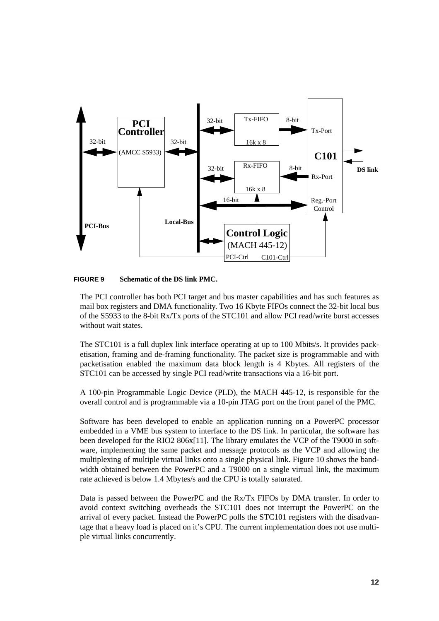

#### **FIGURE 9 Schematic of the DS link PMC.**

The PCI controller has both PCI target and bus master capabilities and has such features as mail box registers and DMA functionality. Two 16 Kbyte FIFOs connect the 32-bit local bus of the S5933 to the 8-bit Rx/Tx ports of the STC101 and allow PCI read/write burst accesses without wait states.

The STC101 is a full duplex link interface operating at up to 100 Mbits/s. It provides packetisation, framing and de-framing functionality. The packet size is programmable and with packetisation enabled the maximum data block length is 4 Kbytes. All registers of the STC101 can be accessed by single PCI read/write transactions via a 16-bit port.

A 100-pin Programmable Logic Device (PLD), the MACH 445-12, is responsible for the overall control and is programmable via a 10-pin JTAG port on the front panel of the PMC.

Software has been developed to enable an application running on a PowerPC processor embedded in a VME bus system to interface to the DS link. In particular, the software has been developed for the RIO2 806x[11]. The library emulates the VCP of the T9000 in software, implementing the same packet and message protocols as the VCP and allowing the multiplexing of multiple virtual links onto a single physical link. Figure 10 shows the bandwidth obtained between the PowerPC and a T9000 on a single virtual link, the maximum rate achieved is below 1.4 Mbytes/s and the CPU is totally saturated.

Data is passed between the PowerPC and the Rx/Tx FIFOs by DMA transfer. In order to avoid context switching overheads the STC101 does not interrupt the PowerPC on the arrival of every packet. Instead the PowerPC polls the STC101 registers with the disadvantage that a heavy load is placed on it's CPU. The current implementation does not use multiple virtual links concurrently.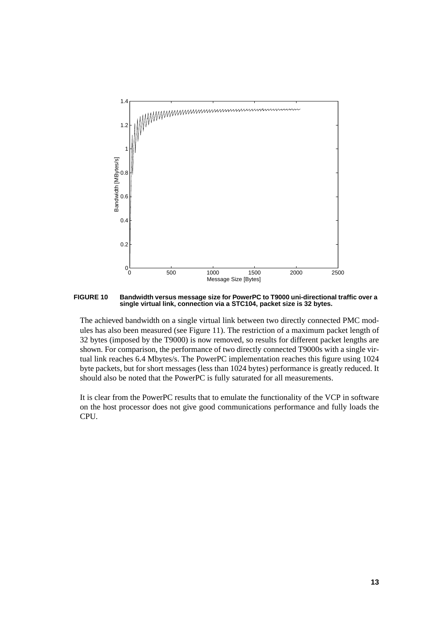

**FIGURE 10 Bandwidth versus message size for PowerPC to T9000 uni-directional traffic over a single virtual link, connection via a STC104, packet size is 32 bytes.**

The achieved bandwidth on a single virtual link between two directly connected PMC modules has also been measured (see Figure 11). The restriction of a maximum packet length of 32 bytes (imposed by the T9000) is now removed, so results for different packet lengths are shown. For comparison, the performance of two directly connected T9000s with a single virtual link reaches 6.4 Mbytes/s. The PowerPC implementation reaches this figure using 1024 byte packets, but for short messages (less than 1024 bytes) performance is greatly reduced. It should also be noted that the PowerPC is fully saturated for all measurements.

It is clear from the PowerPC results that to emulate the functionality of the VCP in software on the host processor does not give good communications performance and fully loads the CPU.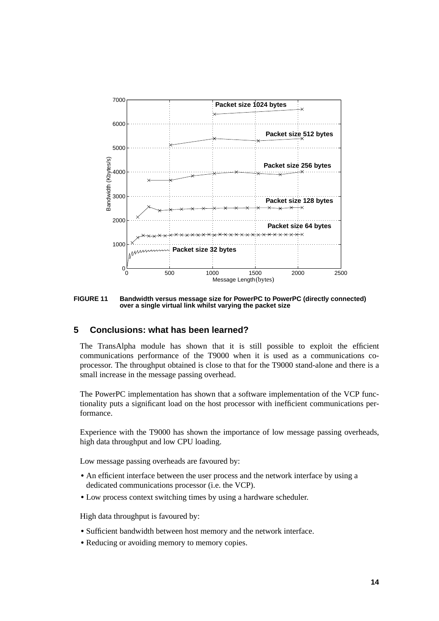

**FIGURE 11 Bandwidth versus message size for PowerPC to PowerPC (directly connected) over a single virtual link whilst varying the packet size**

#### **5 Conclusions: what has been learned?**

The TransAlpha module has shown that it is still possible to exploit the efficient communications performance of the T9000 when it is used as a communications coprocessor. The throughput obtained is close to that for the T9000 stand-alone and there is a small increase in the message passing overhead.

The PowerPC implementation has shown that a software implementation of the VCP functionality puts a significant load on the host processor with inefficient communications performance.

Experience with the T9000 has shown the importance of low message passing overheads, high data throughput and low CPU loading.

Low message passing overheads are favoured by:

- An efficient interface between the user process and the network interface by using a dedicated communications processor (i.e. the VCP).
- **•** Low process context switching times by using a hardware scheduler.

High data throughput is favoured by:

- **•** Sufficient bandwidth between host memory and the network interface.
- **•** Reducing or avoiding memory to memory copies.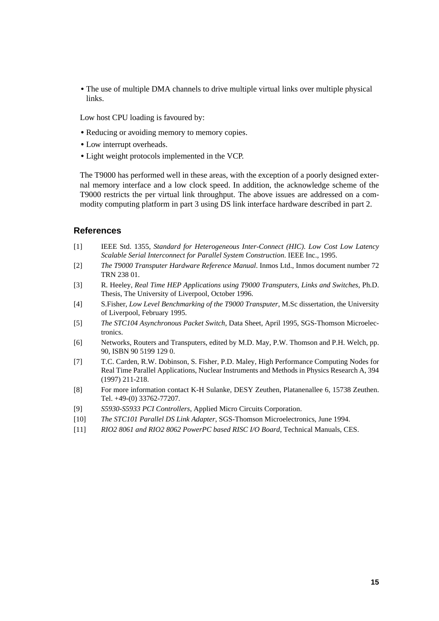• The use of multiple DMA channels to drive multiple virtual links over multiple physical links.

Low host CPU loading is favoured by:

- **•** Reducing or avoiding memory to memory copies.
- **•** Low interrupt overheads.
- **•** Light weight protocols implemented in the VCP.

The T9000 has performed well in these areas, with the exception of a poorly designed external memory interface and a low clock speed. In addition, the acknowledge scheme of the T9000 restricts the per virtual link throughput. The above issues are addressed on a commodity computing platform in part 3 using DS link interface hardware described in part 2.

#### **References**

- [1] IEEE Std. 1355, *Standard for Heterogeneous Inter-Connect (HIC). Low Cost Low Latency Scalable Serial Interconnect for Parallel System Construction*. IEEE Inc., 1995.
- [2] *The T9000 Transputer Hardware Reference Manual*. Inmos Ltd., Inmos document number 72 TRN 238 01.
- [3] R. Heeley, *Real Time HEP Applications using T9000 Transputers, Links and Switches*, Ph.D. Thesis, The University of Liverpool, October 1996.
- [4] S.Fisher, *Low Level Benchmarking of the T9000 Transputer*, M.Sc dissertation, the University of Liverpool, February 1995.
- [5] *The STC104 Asynchronous Packet Switch*, Data Sheet, April 1995, SGS-Thomson Microelectronics.
- [6] Networks, Routers and Transputers, edited by M.D. May, P.W. Thomson and P.H. Welch, pp. 90, ISBN 90 5199 129 0.
- [7] T.C. Carden, R.W. Dobinson, S. Fisher, P.D. Maley, High Performance Computing Nodes for Real Time Parallel Applications, Nuclear Instruments and Methods in Physics Research A, 394 (1997) 211-218.
- [8] For more information contact K-H Sulanke, DESY Zeuthen, Platanenallee 6, 15738 Zeuthen. Tel. +49-(0) 33762-77207.
- [9] *S5930-S5933 PCI Controllers*, Applied Micro Circuits Corporation.
- [10] *The STC101 Parallel DS Link Adapter*, SGS-Thomson Microelectronics, June 1994.
- [11] *RIO2 8061 and RIO2 8062 PowerPC based RISC I/O Board*, Technical Manuals, CES.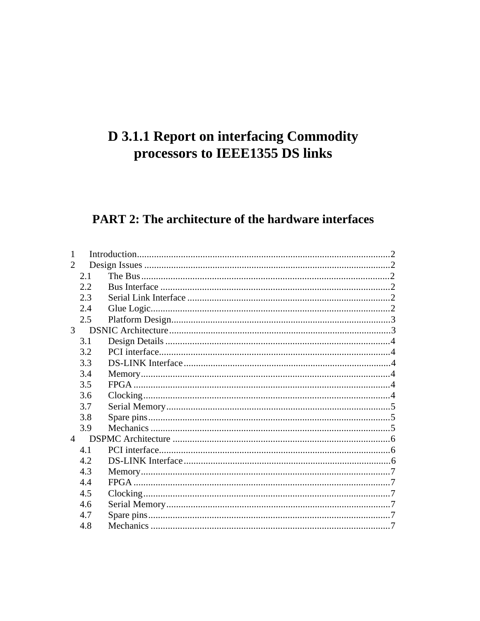# **D 3.1.1 Report on interfacing Commodity** processors to IEEE1355 DS links

# **PART 2: The architecture of the hardware interfaces**

| $\mathcal{D}_{\mathcal{L}}$ |     |  |
|-----------------------------|-----|--|
|                             | 2.1 |  |
|                             | 2.2 |  |
|                             | 2.3 |  |
|                             | 2.4 |  |
|                             | 2.5 |  |
| $\mathcal{E}$               |     |  |
|                             | 3.1 |  |
|                             | 3.2 |  |
|                             | 3.3 |  |
|                             | 3.4 |  |
|                             | 3.5 |  |
|                             | 3.6 |  |
|                             | 3.7 |  |
|                             | 3.8 |  |
|                             | 3.9 |  |
| $\overline{4}$              |     |  |
|                             | 4.1 |  |
|                             | 4.2 |  |
|                             | 4.3 |  |
|                             | 4.4 |  |
|                             | 4.5 |  |
|                             | 4.6 |  |
|                             | 4.7 |  |
|                             | 4.8 |  |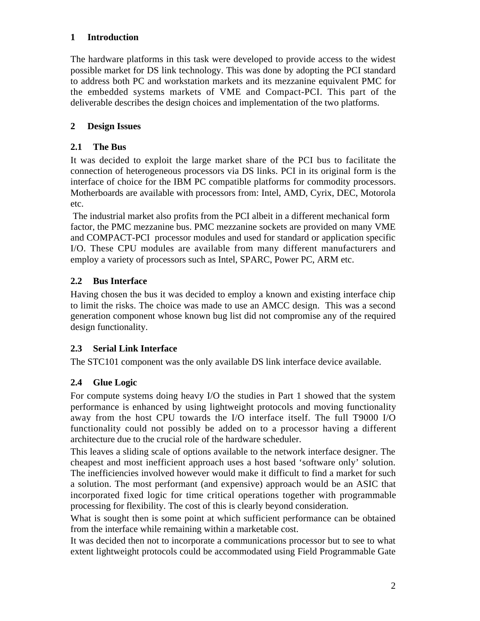# **1 Introduction**

The hardware platforms in this task were developed to provide access to the widest possible market for DS link technology. This was done by adopting the PCI standard to address both PC and workstation markets and its mezzanine equivalent PMC for the embedded systems markets of VME and Compact-PCI. This part of the deliverable describes the design choices and implementation of the two platforms.

# **2 Design Issues**

# **2.1 The Bus**

It was decided to exploit the large market share of the PCI bus to facilitate the connection of heterogeneous processors via DS links. PCI in its original form is the interface of choice for the IBM PC compatible platforms for commodity processors. Motherboards are available with processors from: Intel, AMD, Cyrix, DEC, Motorola etc.

 The industrial market also profits from the PCI albeit in a different mechanical form factor, the PMC mezzanine bus. PMC mezzanine sockets are provided on many VME and COMPACT-PCI processor modules and used for standard or application specific I/O. These CPU modules are available from many different manufacturers and employ a variety of processors such as Intel, SPARC, Power PC, ARM etc.

# **2.2 Bus Interface**

Having chosen the bus it was decided to employ a known and existing interface chip to limit the risks. The choice was made to use an AMCC design. This was a second generation component whose known bug list did not compromise any of the required design functionality.

## **2.3 Serial Link Interface**

The STC101 component was the only available DS link interface device available.

# **2.4 Glue Logic**

For compute systems doing heavy I/O the studies in Part 1 showed that the system performance is enhanced by using lightweight protocols and moving functionality away from the host CPU towards the I/O interface itself. The full T9000 I/O functionality could not possibly be added on to a processor having a different architecture due to the crucial role of the hardware scheduler.

This leaves a sliding scale of options available to the network interface designer. The cheapest and most inefficient approach uses a host based 'software only' solution. The inefficiencies involved however would make it difficult to find a market for such a solution. The most performant (and expensive) approach would be an ASIC that incorporated fixed logic for time critical operations together with programmable processing for flexibility. The cost of this is clearly beyond consideration.

What is sought then is some point at which sufficient performance can be obtained from the interface while remaining within a marketable cost.

It was decided then not to incorporate a communications processor but to see to what extent lightweight protocols could be accommodated using Field Programmable Gate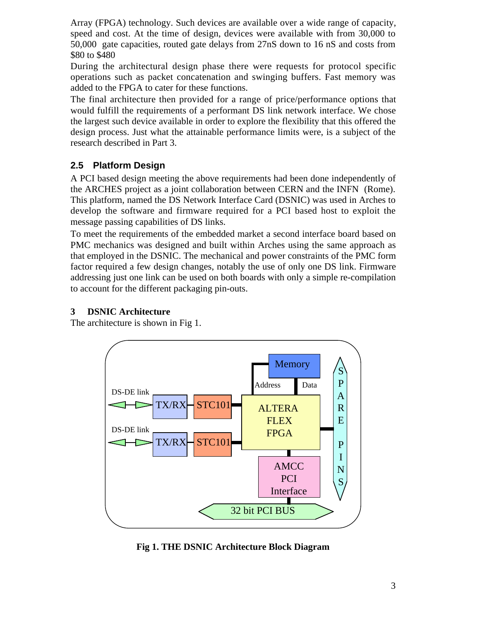Array (FPGA) technology. Such devices are available over a wide range of capacity, speed and cost. At the time of design, devices were available with from 30,000 to 50,000 gate capacities, routed gate delays from 27nS down to 16 nS and costs from \$80 to \$480

During the architectural design phase there were requests for protocol specific operations such as packet concatenation and swinging buffers. Fast memory was added to the FPGA to cater for these functions.

The final architecture then provided for a range of price/performance options that would fulfill the requirements of a performant DS link network interface. We chose the largest such device available in order to explore the flexibility that this offered the design process. Just what the attainable performance limits were, is a subject of the research described in Part 3.

# **2.5 Platform Design**

A PCI based design meeting the above requirements had been done independently of the ARCHES project as a joint collaboration between CERN and the INFN (Rome). This platform, named the DS Network Interface Card (DSNIC) was used in Arches to develop the software and firmware required for a PCI based host to exploit the message passing capabilities of DS links.

To meet the requirements of the embedded market a second interface board based on PMC mechanics was designed and built within Arches using the same approach as that employed in the DSNIC. The mechanical and power constraints of the PMC form factor required a few design changes, notably the use of only one DS link. Firmware addressing just one link can be used on both boards with only a simple re-compilation to account for the different packaging pin-outs.

# **3 DSNIC Architecture**

The architecture is shown in Fig 1.



**Fig 1. THE DSNIC Architecture Block Diagram**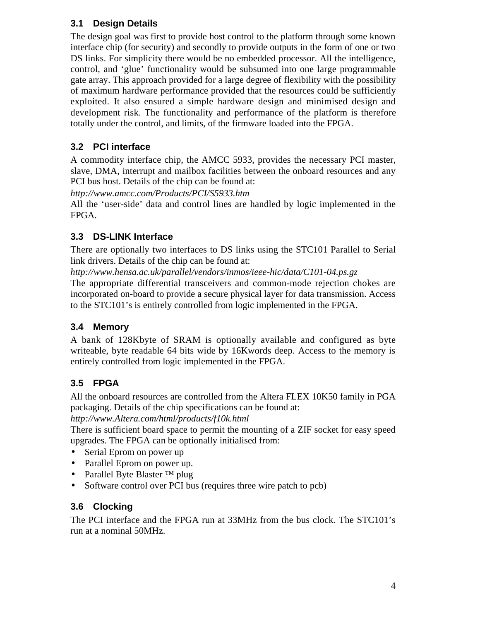# **3.1 Design Details**

The design goal was first to provide host control to the platform through some known interface chip (for security) and secondly to provide outputs in the form of one or two DS links. For simplicity there would be no embedded processor. All the intelligence, control, and 'glue' functionality would be subsumed into one large programmable gate array. This approach provided for a large degree of flexibility with the possibility of maximum hardware performance provided that the resources could be sufficiently exploited. It also ensured a simple hardware design and minimised design and development risk. The functionality and performance of the platform is therefore totally under the control, and limits, of the firmware loaded into the FPGA.

# **3.2 PCI interface**

A commodity interface chip, the AMCC 5933, provides the necessary PCI master, slave, DMA, interrupt and mailbox facilities between the onboard resources and any PCI bus host. Details of the chip can be found at:

*http://www.amcc.com/Products/PCI/S5933.htm*

All the 'user-side' data and control lines are handled by logic implemented in the FPGA.

# **3.3 DS-LINK Interface**

There are optionally two interfaces to DS links using the STC101 Parallel to Serial link drivers. Details of the chip can be found at:

*http://www.hensa.ac.uk/parallel/vendors/inmos/ieee-hic/data/C101-04.ps.gz*

The appropriate differential transceivers and common-mode rejection chokes are incorporated on-board to provide a secure physical layer for data transmission. Access to the STC101's is entirely controlled from logic implemented in the FPGA.

# **3.4 Memory**

A bank of 128Kbyte of SRAM is optionally available and configured as byte writeable, byte readable 64 bits wide by 16Kwords deep. Access to the memory is entirely controlled from logic implemented in the FPGA.

# **3.5 FPGA**

All the onboard resources are controlled from the Altera FLEX 10K50 family in PGA packaging. Details of the chip specifications can be found at:

*http://www.Altera.com/html/products/f10k.html*

There is sufficient board space to permit the mounting of a ZIF socket for easy speed upgrades. The FPGA can be optionally initialised from:

- Serial Eprom on power up
- Parallel Eprom on power up.
- Parallel Byte Blaster ™ plug
- Software control over PCI bus (requires three wire patch to pcb)

# **3.6 Clocking**

The PCI interface and the FPGA run at 33MHz from the bus clock. The STC101's run at a nominal 50MHz.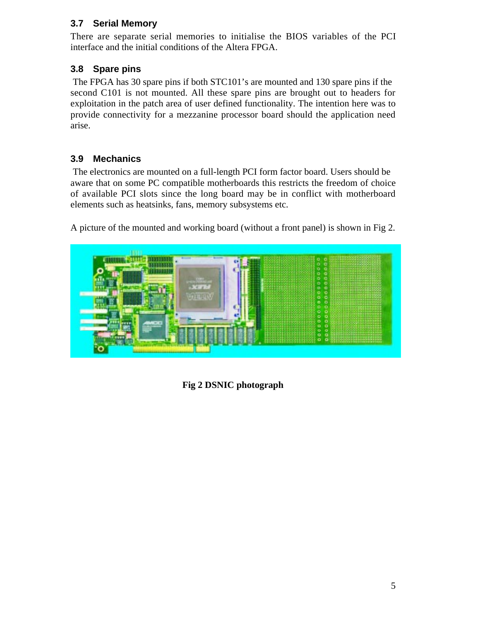# **3.7 Serial Memory**

There are separate serial memories to initialise the BIOS variables of the PCI interface and the initial conditions of the Altera FPGA.

# **3.8 Spare pins**

 The FPGA has 30 spare pins if both STC101's are mounted and 130 spare pins if the second C101 is not mounted. All these spare pins are brought out to headers for exploitation in the patch area of user defined functionality. The intention here was to provide connectivity for a mezzanine processor board should the application need arise.

# **3.9 Mechanics**

 The electronics are mounted on a full-length PCI form factor board. Users should be aware that on some PC compatible motherboards this restricts the freedom of choice of available PCI slots since the long board may be in conflict with motherboard elements such as heatsinks, fans, memory subsystems etc.

A picture of the mounted and working board (without a front panel) is shown in Fig 2.



**Fig 2 DSNIC photograph**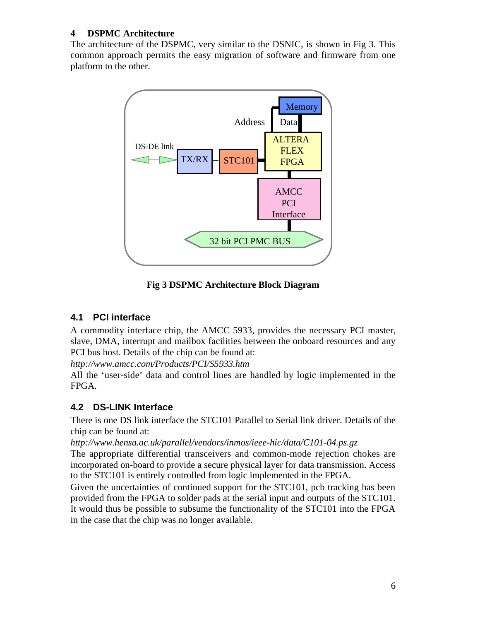# **4 DSPMC Architecture**

The architecture of the DSPMC, very similar to the DSNIC, is shown in Fig 3. This common approach permits the easy migration of software and firmware from one platform to the other.



**Fig 3 DSPMC Architecture Block Diagram**

# **4.1 PCI interface**

A commodity interface chip, the AMCC 5933, provides the necessary PCI master, slave, DMA, interrupt and mailbox facilities between the onboard resources and any PCI bus host. Details of the chip can be found at:

*http://www.amcc.com/Products/PCI/S5933.htm*

All the 'user-side' data and control lines are handled by logic implemented in the FPGA.

# **4.2 DS-LINK Interface**

There is one DS link interface the STC101 Parallel to Serial link driver. Details of the chip can be found at:

*http://www.hensa.ac.uk/parallel/vendors/inmos/ieee-hic/data/C101-04.ps.gz*

The appropriate differential transceivers and common-mode rejection chokes are incorporated on-board to provide a secure physical layer for data transmission. Access to the STC101 is entirely controlled from logic implemented in the FPGA.

Given the uncertainties of continued support for the STC101, pcb tracking has been provided from the FPGA to solder pads at the serial input and outputs of the STC101. It would thus be possible to subsume the functionality of the STC101 into the FPGA in the case that the chip was no longer available.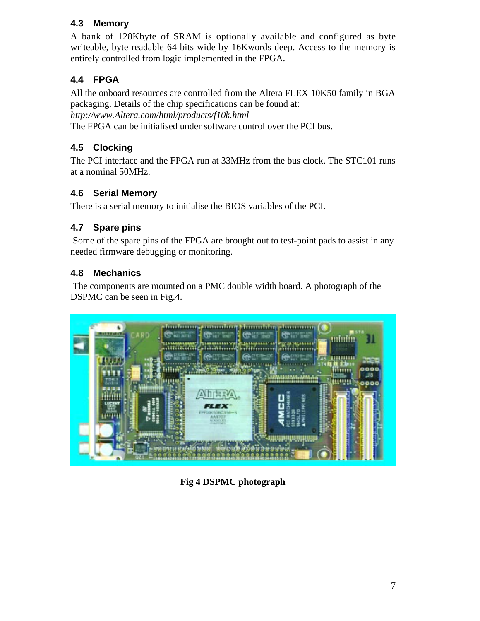# **4.3 Memory**

A bank of 128Kbyte of SRAM is optionally available and configured as byte writeable, byte readable 64 bits wide by 16Kwords deep. Access to the memory is entirely controlled from logic implemented in the FPGA.

# **4.4 FPGA**

All the onboard resources are controlled from the Altera FLEX 10K50 family in BGA packaging. Details of the chip specifications can be found at: *http://www.Altera.com/html/products/f10k.html* The FPGA can be initialised under software control over the PCI bus.

# **4.5 Clocking**

The PCI interface and the FPGA run at 33MHz from the bus clock. The STC101 runs at a nominal 50MHz.

# **4.6 Serial Memory**

There is a serial memory to initialise the BIOS variables of the PCI.

# **4.7 Spare pins**

 Some of the spare pins of the FPGA are brought out to test-point pads to assist in any needed firmware debugging or monitoring.

# **4.8 Mechanics**

 The components are mounted on a PMC double width board. A photograph of the DSPMC can be seen in Fig.4.



**Fig 4 DSPMC photograph**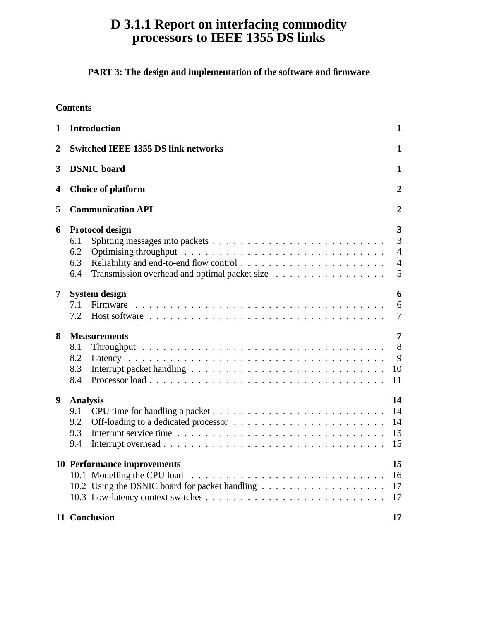# **D 3.1.1 Report on interfacing commodity processors to IEEE 1355 DS links**

# **PART 3: The design and implementation of the software and firmware**

| 1              | <b>Introduction</b>                                                                                                                                                                           | $\mathbf{1}$                                    |  |  |
|----------------|-----------------------------------------------------------------------------------------------------------------------------------------------------------------------------------------------|-------------------------------------------------|--|--|
| $\overline{2}$ | <b>Switched IEEE 1355 DS link networks</b>                                                                                                                                                    |                                                 |  |  |
| 3              | <b>DSNIC</b> board                                                                                                                                                                            | 1                                               |  |  |
| 4              | <b>Choice of platform</b>                                                                                                                                                                     | $\boldsymbol{2}$                                |  |  |
| 5              | <b>Communication API</b>                                                                                                                                                                      |                                                 |  |  |
| 6              | Protocol design<br>Splitting messages into packets $\dots \dots \dots \dots \dots \dots \dots \dots \dots \dots$<br>6.1<br>6.2<br>6.3<br>6.4<br>Transmission overhead and optimal packet size | 3<br>3<br>$\overline{4}$<br>$\overline{4}$<br>5 |  |  |
| 7              | <b>System design</b><br>7.1<br>7.2                                                                                                                                                            | 6<br>6<br>$\overline{7}$                        |  |  |
| 8              | <b>Measurements</b><br>8.1<br>8.2<br>8.3<br>8.4                                                                                                                                               | 7<br>8<br>9<br>10<br>11                         |  |  |
| 9              | <b>Analysis</b><br>9.1<br>9.2<br>9.3<br>9.4                                                                                                                                                   | 14<br>14<br>14<br>15<br>15                      |  |  |
|                | 10 Performance improvements<br>10.1 Modelling the CPU load                                                                                                                                    | 15<br>16<br>17<br>17                            |  |  |
|                | 11 Conclusion                                                                                                                                                                                 | 17                                              |  |  |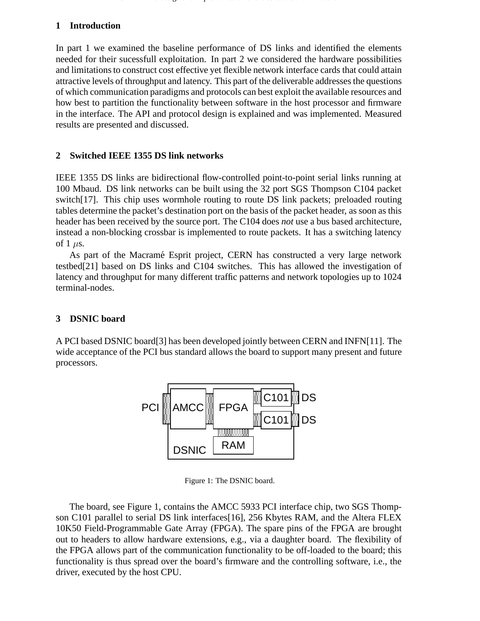### **1 Introduction**

In part 1 we examined the baseline performance of DS links and identified the elements needed for their sucessfull exploitation. In part 2 we considered the hardware possibilities and limitations to construct cost effective yet flexible network interface cards that could attain attractive levels of throughput and latency. This part of the deliverable addresses the questions of which communication paradigms and protocols can best exploit the available resources and how best to partition the functionality between software in the host processor and firmware in the interface. The API and protocol design is explained and was implemented. Measured results are presented and discussed.

#### **2 Switched IEEE 1355 DS link networks**

IEEE 1355 DS links are bidirectional flow-controlled point-to-point serial links running at 100 Mbaud. DS link networks can be built using the 32 port SGS Thompson C104 packet switch[17]. This chip uses wormhole routing to route DS link packets; preloaded routing tables determine the packet's destination port on the basis of the packet header, as soon as this header has been received by the source port. The C104 does *not* use a bus based architecture, instead a non-blocking crossbar is implemented to route packets. It has a switching latency of 1  $\mu$ s.

As part of the Macramé Esprit project, CERN has constructed a very large network testbed[21] based on DS links and C104 switches. This has allowed the investigation of latency and throughput for many different traffic patterns and network topologies up to 1024 terminal-nodes.

#### **3 DSNIC board**

A PCI based DSNIC board[3] has been developed jointly between CERN and INFN[11]. The wide acceptance of the PCI bus standard allows the board to support many present and future processors.



Figure 1: The DSNIC board.

The board, see Figure 1, contains the AMCC 5933 PCI interface chip, two SGS Thompson C101 parallel to serial DS link interfaces[16], 256 Kbytes RAM, and the Altera FLEX 10K50 Field-Programmable Gate Array (FPGA). The spare pins of the FPGA are brought out to headers to allow hardware extensions, e.g., via a daughter board. The flexibility of the FPGA allows part of the communication functionality to be off-loaded to the board; this functionality is thus spread over the board's firmware and the controlling software, i.e., the driver, executed by the host CPU.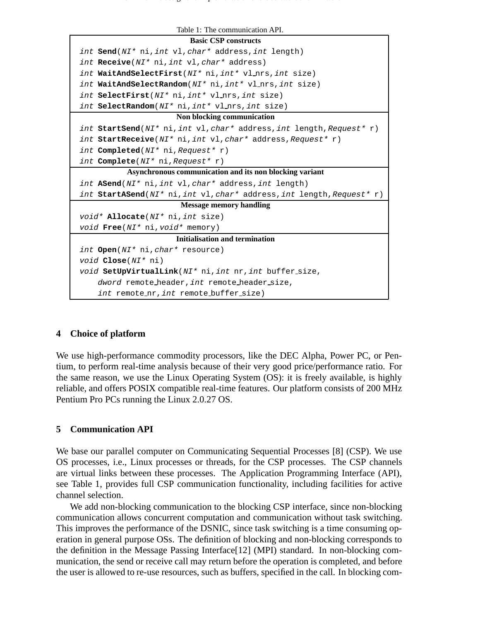

 $2$  CERN  $\sigma$  and implementation of the software and firmware and firmware and firmware and firmware and firmware and firmware and firmware and firmware and firmware and firmware and firmware and firmware and firmware and

#### **4 Choice of platform**

We use high-performance commodity processors, like the DEC Alpha, Power PC, or Pentium, to perform real-time analysis because of their very good price/performance ratio. For the same reason, we use the Linux Operating System (OS): it is freely available, is highly reliable, and offers POSIX compatible real-time features. Our platform consists of 200 MHz Pentium Pro PCs running the Linux 2.0.27 OS.

#### **5 Communication API**

We base our parallel computer on Communicating Sequential Processes [8] (CSP). We use OS processes, i.e., Linux processes or threads, for the CSP processes. The CSP channels are virtual links between these processes. The Application Programming Interface (API), see Table 1, provides full CSP communication functionality, including facilities for active channel selection.

We add non-blocking communication to the blocking CSP interface, since non-blocking communication allows concurrent computation and communication without task switching. This improves the performance of the DSNIC, since task switching is a time consuming operation in general purpose OSs. The definition of blocking and non-blocking corresponds to the definition in the Message Passing Interface[12] (MPI) standard. In non-blocking communication, the send or receive call may return before the operation is completed, and before the user is allowed to re-use resources, such as buffers, specified in the call. In blocking com-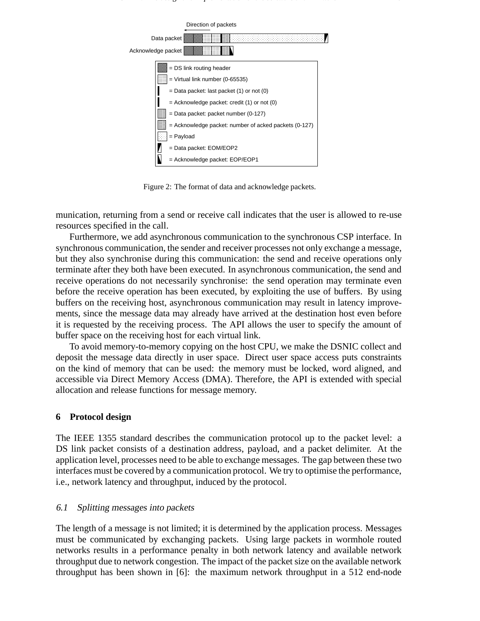

Figure 2: The format of data and acknowledge packets.

munication, returning from a send or receive call indicates that the user is allowed to re-use resources specified in the call.

Furthermore, we add asynchronous communication to the synchronous CSP interface. In synchronous communication, the sender and receiver processes not only exchange a message, but they also synchronise during this communication: the send and receive operations only terminate after they both have been executed. In asynchronous communication, the send and receive operations do not necessarily synchronise: the send operation may terminate even before the receive operation has been executed, by exploiting the use of buffers. By using buffers on the receiving host, asynchronous communication may result in latency improvements, since the message data may already have arrived at the destination host even before it is requested by the receiving process. The API allows the user to specify the amount of buffer space on the receiving host for each virtual link.

To avoid memory-to-memory copying on the host CPU, we make the DSNIC collect and deposit the message data directly in user space. Direct user space access puts constraints on the kind of memory that can be used: the memory must be locked, word aligned, and accessible via Direct Memory Access (DMA). Therefore, the API is extended with special allocation and release functions for message memory.

#### **6 Protocol design**

The IEEE 1355 standard describes the communication protocol up to the packet level: a DS link packet consists of a destination address, payload, and a packet delimiter. At the application level, processes need to be able to exchange messages. The gap between these two interfaces must be covered by a communication protocol. We try to optimise the performance, i.e., network latency and throughput, induced by the protocol.

#### 6.1 Splitting messages into packets

The length of a message is not limited; it is determined by the application process. Messages must be communicated by exchanging packets. Using large packets in wormhole routed networks results in a performance penalty in both network latency and available network throughput due to network congestion. The impact of the packet size on the available network throughput has been shown in [6]: the maximum network throughput in a 512 end-node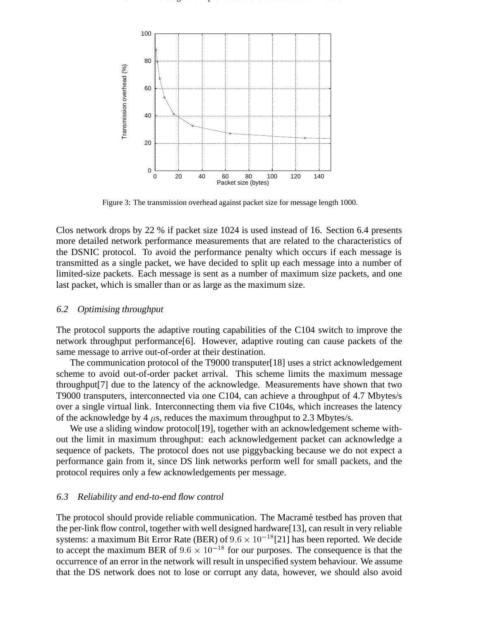

Figure 3: The transmission overhead against packet size for message length 1000.

Clos network drops by 22 % if packet size 1024 is used instead of 16. Section 6.4 presents more detailed network performance measurements that are related to the characteristics of the DSNIC protocol. To avoid the performance penalty which occurs if each message is transmitted as a single packet, we have decided to split up each message into a number of limited-size packets. Each message is sent as a number of maximum size packets, and one last packet, which is smaller than or as large as the maximum size.

#### 6.2 Optimising throughput

The protocol supports the adaptive routing capabilities of the C104 switch to improve the network throughput performance[6]. However, adaptive routing can cause packets of the same message to arrive out-of-order at their destination.

The communication protocol of the T9000 transputer[18] uses a strict acknowledgement scheme to avoid out-of-order packet arrival. This scheme limits the maximum message throughput[7] due to the latency of the acknowledge. Measurements have shown that two T9000 transputers, interconnected via one C104, can achieve a throughput of 4.7 Mbytes/s over a single virtual link. Interconnecting them via five C104s, which increases the latency of the acknowledge by 4  $\mu$ s, reduces the maximum throughput to 2.3 Mbytes/s.

We use a sliding window protocol[19], together with an acknowledgement scheme without the limit in maximum throughput: each acknowledgement packet can acknowledge a sequence of packets. The protocol does not use piggybacking because we do not expect a performance gain from it, since DS link networks perform well for small packets, and the protocol requires only a few acknowledgements per message.

#### 6.3 Reliability and end-to-end flow control

The protocol should provide reliable communication. The Macramé testbed has proven that the per-link flow control, together with well designed hardware[13], can result in very reliable systems: a maximum Bit Error Rate (BER) of  $9.6 \times 10^{-18}$ [21] has been reported. We decide to accept the maximum BER of  $9.6 \times 10^{-18}$  for our purposes. The consequence is that the occurrence of an error in the network will result in unspecified system behaviour. We assume that the DS network does not to lose or corrupt any data, however, we should also avoid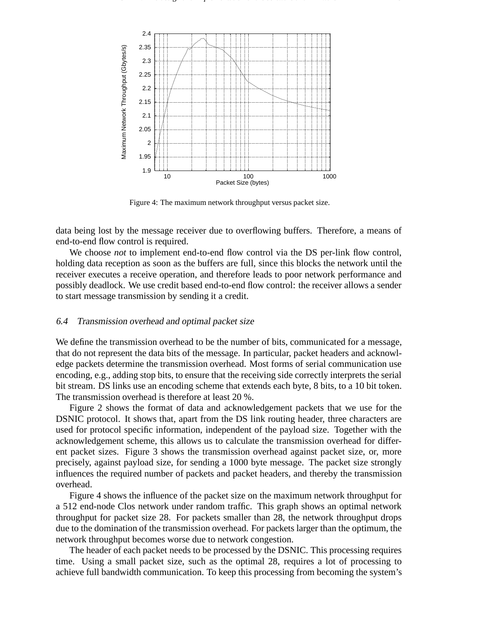

 $\Gamma$  , the design and implementation of the software software  $\Gamma$ 

Figure 4: The maximum network throughput versus packet size.

data being lost by the message receiver due to overflowing buffers. Therefore, a means of end-to-end flow control is required.

We choose *not* to implement end-to-end flow control via the DS per-link flow control, holding data reception as soon as the buffers are full, since this blocks the network until the receiver executes a receive operation, and therefore leads to poor network performance and possibly deadlock. We use credit based end-to-end flow control: the receiver allows a sender to start message transmission by sending it a credit.

#### 6.4 Transmission overhead and optimal packet size

We define the transmission overhead to be the number of bits, communicated for a message, that do not represent the data bits of the message. In particular, packet headers and acknowledge packets determine the transmission overhead. Most forms of serial communication use encoding, e.g., adding stop bits, to ensure that the receiving side correctly interprets the serial bit stream. DS links use an encoding scheme that extends each byte, 8 bits, to a 10 bit token. The transmission overhead is therefore at least 20 %.

Figure 2 shows the format of data and acknowledgement packets that we use for the DSNIC protocol. It shows that, apart from the DS link routing header, three characters are used for protocol specific information, independent of the payload size. Together with the acknowledgement scheme, this allows us to calculate the transmission overhead for different packet sizes. Figure 3 shows the transmission overhead against packet size, or, more precisely, against payload size, for sending a 1000 byte message. The packet size strongly influences the required number of packets and packet headers, and thereby the transmission overhead.

Figure 4 shows the influence of the packet size on the maximum network throughput for a 512 end-node Clos network under random traffic. This graph shows an optimal network throughput for packet size 28. For packets smaller than 28, the network throughput drops due to the domination of the transmission overhead. For packets larger than the optimum, the network throughput becomes worse due to network congestion.

The header of each packet needs to be processed by the DSNIC. This processing requires time. Using a small packet size, such as the optimal 28, requires a lot of processing to achieve full bandwidth communication. To keep this processing from becoming the system's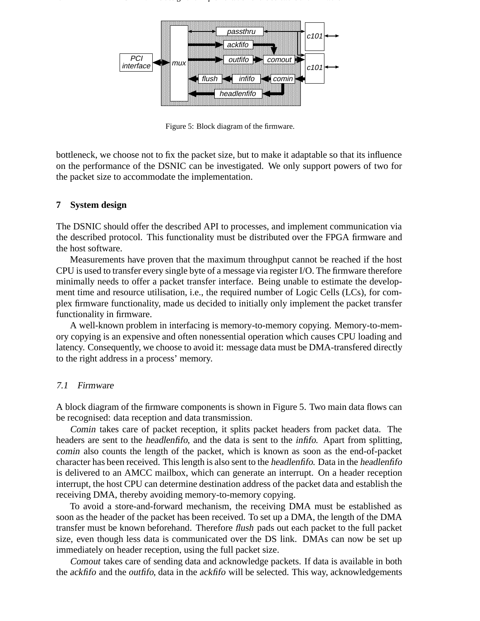

Figure 5: Block diagram of the firmware.

bottleneck, we choose not to fix the packet size, but to make it adaptable so that its influence on the performance of the DSNIC can be investigated. We only support powers of two for the packet size to accommodate the implementation.

#### **7 System design**

The DSNIC should offer the described API to processes, and implement communication via the described protocol. This functionality must be distributed over the FPGA firmware and the host software.

Measurements have proven that the maximum throughput cannot be reached if the host CPU is used to transfer every single byte of a message via register I/O. The firmware therefore minimally needs to offer a packet transfer interface. Being unable to estimate the development time and resource utilisation, i.e., the required number of Logic Cells (LCs), for complex firmware functionality, made us decided to initially only implement the packet transfer functionality in firmware.

A well-known problem in interfacing is memory-to-memory copying. Memory-to-memory copying is an expensive and often nonessential operation which causes CPU loading and latency. Consequently, we choose to avoid it: message data must be DMA-transfered directly to the right address in a process' memory.

#### 7.1 Firmware

A block diagram of the firmware components is shown in Figure 5. Two main data flows can be recognised: data reception and data transmission.

Comin takes care of packet reception, it splits packet headers from packet data. The headers are sent to the *headlenfifo*, and the data is sent to the *infifo*. Apart from splitting, comin also counts the length of the packet, which is known as soon as the end-of-packet character has been received. This length is also sent to the headlenfifo. Data in the headlenfifo is delivered to an AMCC mailbox, which can generate an interrupt. On a header reception interrupt, the host CPU can determine destination address of the packet data and establish the receiving DMA, thereby avoiding memory-to-memory copying.

To avoid a store-and-forward mechanism, the receiving DMA must be established as soon as the header of the packet has been received. To set up a DMA, the length of the DMA transfer must be known beforehand. Therefore flush pads out each packet to the full packet size, even though less data is communicated over the DS link. DMAs can now be set up immediately on header reception, using the full packet size.

Comout takes care of sending data and acknowledge packets. If data is available in both the ackfifo and the outfifo, data in the ackfifo will be selected. This way, acknowledgements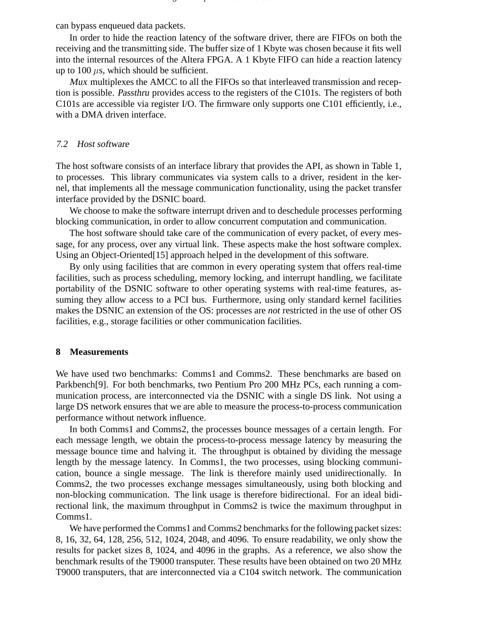can bypass enqueued data packets.

In order to hide the reaction latency of the software driver, there are FIFOs on both the receiving and the transmitting side. The buffer size of 1 Kbyte was chosen because it fits well into the internal resources of the Altera FPGA. A 1 Kbyte FIFO can hide a reaction latency up to 100  $\mu$ s, which should be sufficient.

Mux multiplexes the AMCC to all the FIFOs so that interleaved transmission and reception is possible. Passthru provides access to the registers of the C101s. The registers of both C101s are accessible via register I/O. The firmware only supports one C101 efficiently, i.e., with a DMA driven interface.

#### 7.2 Host software

The host software consists of an interface library that provides the API, as shown in Table 1, to processes. This library communicates via system calls to a driver, resident in the kernel, that implements all the message communication functionality, using the packet transfer interface provided by the DSNIC board.

We choose to make the software interrupt driven and to deschedule processes performing blocking communication, in order to allow concurrent computation and communication.

The host software should take care of the communication of every packet, of every message, for any process, over any virtual link. These aspects make the host software complex. Using an Object-Oriented[15] approach helped in the development of this software.

By only using facilities that are common in every operating system that offers real-time facilities, such as process scheduling, memory locking, and interrupt handling, we facilitate portability of the DSNIC software to other operating systems with real-time features, assuming they allow access to a PCI bus. Furthermore, using only standard kernel facilities makes the DSNIC an extension of the OS: processes are *not* restricted in the use of other OS facilities, e.g., storage facilities or other communication facilities.

#### **8 Measurements**

We have used two benchmarks: Comms1 and Comms2. These benchmarks are based on Parkbench[9]. For both benchmarks, two Pentium Pro 200 MHz PCs, each running a communication process, are interconnected via the DSNIC with a single DS link. Not using a large DS network ensures that we are able to measure the process-to-process communication performance without network influence.

In both Comms1 and Comms2, the processes bounce messages of a certain length. For each message length, we obtain the process-to-process message latency by measuring the message bounce time and halving it. The throughput is obtained by dividing the message length by the message latency. In Comms1, the two processes, using blocking communication, bounce a single message. The link is therefore mainly used unidirectionally. In Comms2, the two processes exchange messages simultaneously, using both blocking and non-blocking communication. The link usage is therefore bidirectional. For an ideal bidirectional link, the maximum throughput in Comms2 is twice the maximum throughput in Comms1.

We have performed the Comms1 and Comms2 benchmarks for the following packet sizes: 8, 16, 32, 64, 128, 256, 512, 1024, 2048, and 4096. To ensure readability, we only show the results for packet sizes 8, 1024, and 4096 in the graphs. As a reference, we also show the benchmark results of the T9000 transputer. These results have been obtained on two 20 MHz T9000 transputers, that are interconnected via a C104 switch network. The communication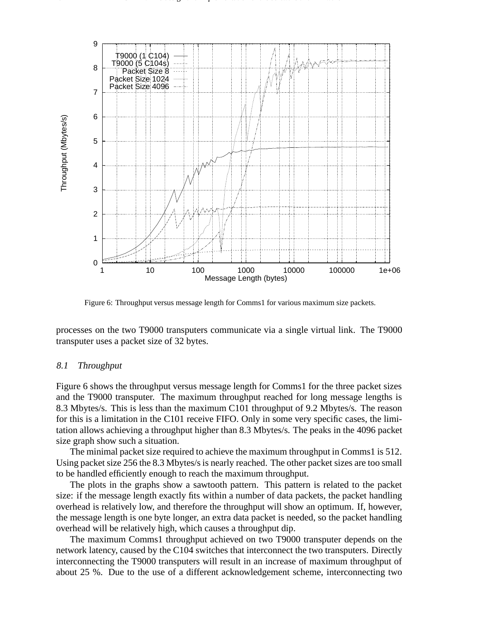

8 CERN / The design and implementation of the software and firmware and firmware and firmware and firmware and firmware and firmware and firmware and firmware and firmware and firmware and firmware and firmware and firmwa

Figure 6: Throughput versus message length for Comms1 for various maximum size packets.

processes on the two T9000 transputers communicate via a single virtual link. The T9000 transputer uses a packet size of 32 bytes.

#### 8.1 Throughput

Figure 6 shows the throughput versus message length for Comms1 for the three packet sizes and the T9000 transputer. The maximum throughput reached for long message lengths is 8.3 Mbytes/s. This is less than the maximum C101 throughput of 9.2 Mbytes/s. The reason for this is a limitation in the C101 receive FIFO. Only in some very specific cases, the limitation allows achieving a throughput higher than 8.3 Mbytes/s. The peaks in the 4096 packet size graph show such a situation.

The minimal packet size required to achieve the maximum throughput in Comms1 is 512. Using packet size 256 the 8.3 Mbytes/s is nearly reached. The other packet sizes are too small to be handled efficiently enough to reach the maximum throughput.

The plots in the graphs show a sawtooth pattern. This pattern is related to the packet size: if the message length exactly fits within a number of data packets, the packet handling overhead is relatively low, and therefore the throughput will show an optimum. If, however, the message length is one byte longer, an extra data packet is needed, so the packet handling overhead will be relatively high, which causes a throughput dip.

The maximum Comms1 throughput achieved on two T9000 transputer depends on the network latency, caused by the C104 switches that interconnect the two transputers. Directly interconnecting the T9000 transputers will result in an increase of maximum throughput of about 25 %. Due to the use of a different acknowledgement scheme, interconnecting two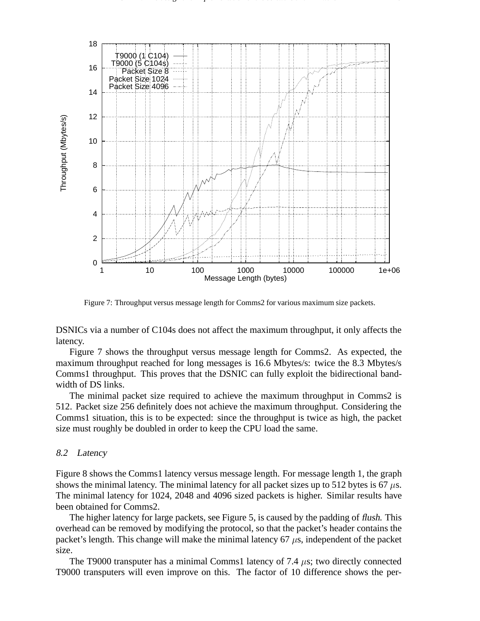

 $\Gamma$  , and implementation and implementation of the software  $9$  the software  $9$ 

Figure 7: Throughput versus message length for Comms2 for various maximum size packets.

DSNICs via a number of C104s does not affect the maximum throughput, it only affects the latency.

Figure 7 shows the throughput versus message length for Comms2. As expected, the maximum throughput reached for long messages is 16.6 Mbytes/s: twice the 8.3 Mbytes/s Comms1 throughput. This proves that the DSNIC can fully exploit the bidirectional bandwidth of DS links.

The minimal packet size required to achieve the maximum throughput in Comms2 is 512. Packet size 256 definitely does not achieve the maximum throughput. Considering the Comms1 situation, this is to be expected: since the throughput is twice as high, the packet size must roughly be doubled in order to keep the CPU load the same.

#### 8.2 Latency

Figure 8 shows the Comms1 latency versus message length. For message length 1, the graph shows the minimal latency. The minimal latency for all packet sizes up to 512 bytes is 67  $\mu$ s. The minimal latency for 1024, 2048 and 4096 sized packets is higher. Similar results have been obtained for Comms2.

The higher latency for large packets, see Figure 5, is caused by the padding of flush. This overhead can be removed by modifying the protocol, so that the packet's header contains the packet's length. This change will make the minimal latency 67  $\mu$ s, independent of the packet size.

The T9000 transputer has a minimal Comms1 latency of 7.4  $\mu$ s; two directly connected T9000 transputers will even improve on this. The factor of 10 difference shows the per-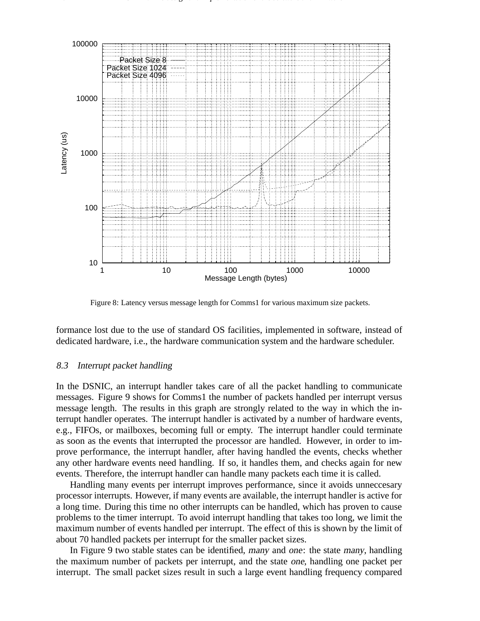

10 CERN  $\sigma$  -the design and implementation of the software and firmware and firmware and firmware and firmware and firmware and firmware and firmware and firmware and firmware and firmware and firmware and firmware and f

Figure 8: Latency versus message length for Comms1 for various maximum size packets.

formance lost due to the use of standard OS facilities, implemented in software, instead of dedicated hardware, i.e., the hardware communication system and the hardware scheduler.

#### 8.3 Interrupt packet handling

In the DSNIC, an interrupt handler takes care of all the packet handling to communicate messages. Figure 9 shows for Comms1 the number of packets handled per interrupt versus message length. The results in this graph are strongly related to the way in which the interrupt handler operates. The interrupt handler is activated by a number of hardware events, e.g., FIFOs, or mailboxes, becoming full or empty. The interrupt handler could terminate as soon as the events that interrupted the processor are handled. However, in order to improve performance, the interrupt handler, after having handled the events, checks whether any other hardware events need handling. If so, it handles them, and checks again for new events. Therefore, the interrupt handler can handle many packets each time it is called.

Handling many events per interrupt improves performance, since it avoids unneccesary processor interrupts. However, if many events are available, the interrupt handler is active for a long time. During this time no other interrupts can be handled, which has proven to cause problems to the timer interrupt. To avoid interrupt handling that takes too long, we limit the maximum number of events handled per interrupt. The effect of this is shown by the limit of about 70 handled packets per interrupt for the smaller packet sizes.

In Figure 9 two stable states can be identified, many and one: the state many, handling the maximum number of packets per interrupt, and the state one, handling one packet per interrupt. The small packet sizes result in such a large event handling frequency compared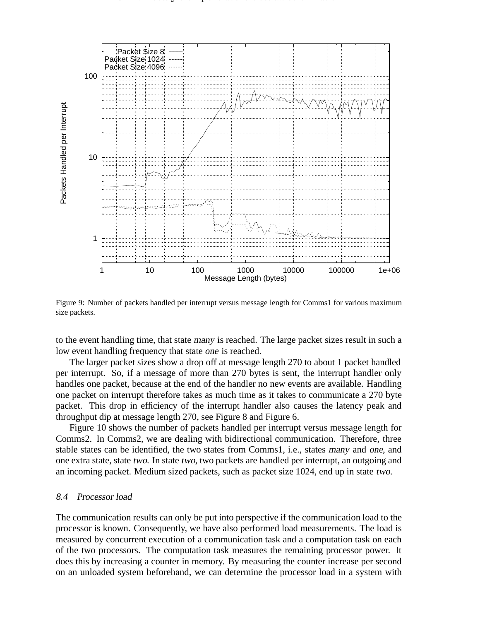

Figure 9: Number of packets handled per interrupt versus message length for Comms1 for various maximum size packets.

to the event handling time, that state many is reached. The large packet sizes result in such a low event handling frequency that state one is reached.

The larger packet sizes show a drop off at message length 270 to about 1 packet handled per interrupt. So, if a message of more than 270 bytes is sent, the interrupt handler only handles one packet, because at the end of the handler no new events are available. Handling one packet on interrupt therefore takes as much time as it takes to communicate a 270 byte packet. This drop in efficiency of the interrupt handler also causes the latency peak and throughput dip at message length 270, see Figure 8 and Figure 6.

Figure 10 shows the number of packets handled per interrupt versus message length for Comms2. In Comms2, we are dealing with bidirectional communication. Therefore, three stable states can be identified, the two states from Comms1, i.e., states many and one, and one extra state, state two. In state two, two packets are handled per interrupt, an outgoing and an incoming packet. Medium sized packets, such as packet size 1024, end up in state two.

#### 8.4 Processor load

The communication results can only be put into perspective if the communication load to the processor is known. Consequently, we have also performed load measurements. The load is measured by concurrent execution of a communication task and a computation task on each of the two processors. The computation task measures the remaining processor power. It does this by increasing a counter in memory. By measuring the counter increase per second on an unloaded system beforehand, we can determine the processor load in a system with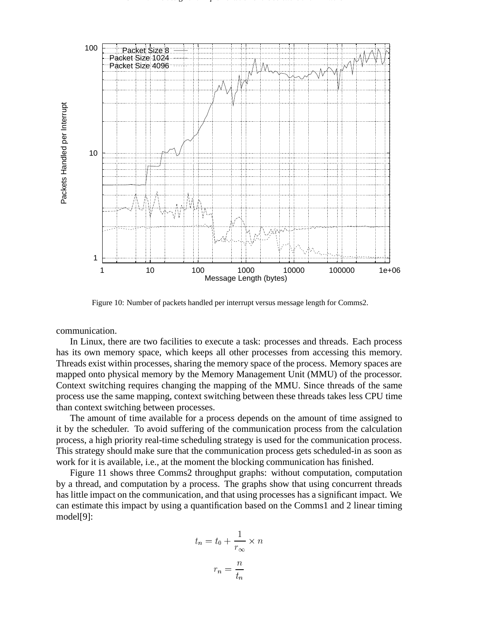![](_page_36_Figure_0.jpeg)

![](_page_36_Figure_1.jpeg)

Figure 10: Number of packets handled per interrupt versus message length for Comms2.

communication.

In Linux, there are two facilities to execute a task: processes and threads. Each process has its own memory space, which keeps all other processes from accessing this memory. Threads exist within processes, sharing the memory space of the process. Memory spaces are mapped onto physical memory by the Memory Management Unit (MMU) of the processor. Context switching requires changing the mapping of the MMU. Since threads of the same process use the same mapping, context switching between these threads takes less CPU time than context switching between processes.

The amount of time available for a process depends on the amount of time assigned to it by the scheduler. To avoid suffering of the communication process from the calculation process, a high priority real-time scheduling strategy is used for the communication process. This strategy should make sure that the communication process gets scheduled-in as soon as work for it is available, i.e., at the moment the blocking communication has finished.

Figure 11 shows three Comms2 throughput graphs: without computation, computation by a thread, and computation by a process. The graphs show that using concurrent threads has little impact on the communication, and that using processes has a significant impact. We can estimate this impact by using a quantification based on the Comms1 and 2 linear timing model[9]:

$$
t_n = t_0 + \frac{1}{r_{\infty}} \times n
$$

$$
r_n = \frac{n}{t_n}
$$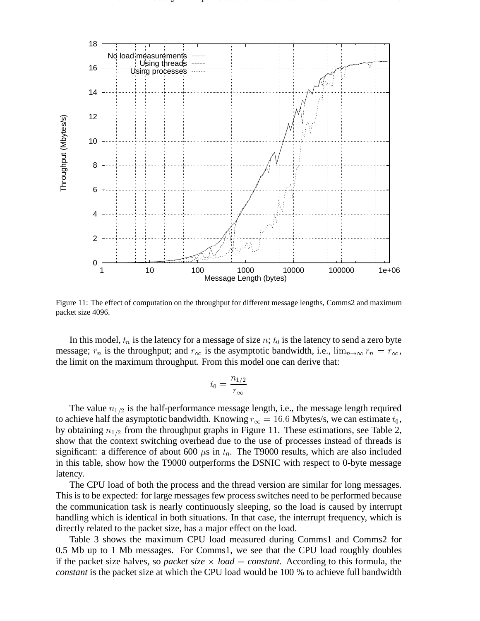![](_page_37_Figure_0.jpeg)

CERN / The design and implementation of the software in the software 13 and firmware 13 and firmware 13 and firmware 13 and 13 and 13 and 13 and 13 and 13 and 13 and 13 and 13 and 13 and 13 and 13 and 13 and 13 and 13 and

Figure 11: The effect of computation on the throughput for different message lengths, Comms2 and maximum packet size 4096.

In this model,  $t_n$  is the latency for a message of size n;  $t_0$  is the latency to send a zero byte message;  $r_n$  is the throughput; and  $r_\infty$  is the asymptotic bandwidth, i.e.,  $\lim_{n\to\infty} r_n = r_\infty$ , the limit on the maximum throughput. From this model one can derive that:

$$
t_0=\frac{n_{1/2}}{r_\infty}
$$

The value  $n_{1/2}$  is the half-performance message length, i.e., the message length required to achieve half the asymptotic bandwidth. Knowing  $r_{\infty} = 16.6$  Mbytes/s, we can estimate  $t_0$ , by obtaining  $n_{1/2}$  from the throughput graphs in Figure 11. These estimations, see Table 2, show that the context switching overhead due to the use of processes instead of threads is significant: a difference of about 600  $\mu$ s in  $t_0$ . The T9000 results, which are also included in this table, show how the T9000 outperforms the DSNIC with respect to 0-byte message latency.

The CPU load of both the process and the thread version are similar for long messages. This is to be expected: for large messages few process switches need to be performed because the communication task is nearly continuously sleeping, so the load is caused by interrupt handling which is identical in both situations. In that case, the interrupt frequency, which is directly related to the packet size, has a major effect on the load.

Table 3 shows the maximum CPU load measured during Comms1 and Comms2 for 0.5 Mb up to 1 Mb messages. For Comms1, we see that the CPU load roughly doubles if the packet size halves, so *packet size*  $\times$  *load* = *constant*. According to this formula, the *constant* is the packet size at which the CPU load would be 100 % to achieve full bandwidth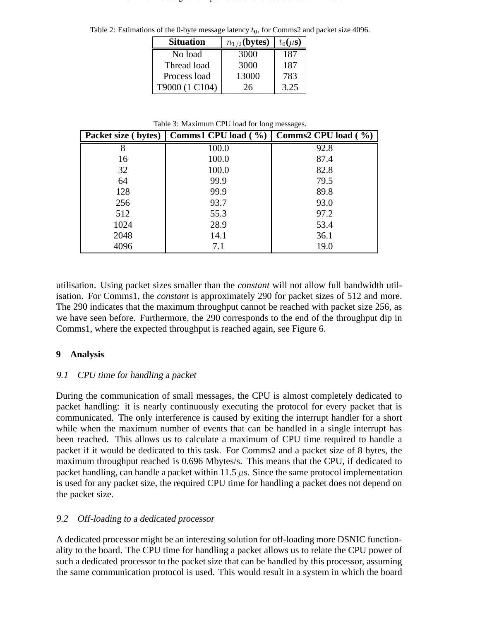| <b>Situation</b> | $n_{1/2}$ (bytes) | $t_0(\mu s)$ |
|------------------|-------------------|--------------|
| No load          | 3000              | 187          |
| Thread load      | 3000              | 187          |
| Process load     | 13000             | 783          |
| T9000 (1 C104)   | 26                | 3.25         |

Table 2: Estimations of the 0-byte message latency  $t_0$ , for Comms2 and packet size 4096.

Table 3: Maximum CPU load for long messages.

| Packet size (bytes) | Comms1 CPU load $(\frac{9}{6})$ | Comms2 CPU load $(\frac{9}{6})$ |
|---------------------|---------------------------------|---------------------------------|
| 8                   | 100.0                           | 92.8                            |
| 16                  | 100.0                           | 87.4                            |
| 32                  | 100.0                           | 82.8                            |
| 64                  | 99.9                            | 79.5                            |
| 128                 | 99.9                            | 89.8                            |
| 256                 | 93.7                            | 93.0                            |
| 512                 | 55.3                            | 97.2                            |
| 1024                | 28.9                            | 53.4                            |
| 2048                | 14.1                            | 36.1                            |
| 4096                | 7.1                             | 19.0                            |

utilisation. Using packet sizes smaller than the *constant* will not allow full bandwidth utilisation. For Comms1, the *constant* is approximately 290 for packet sizes of 512 and more. The 290 indicates that the maximum throughput cannot be reached with packet size 256, as we have seen before. Furthermore, the 290 corresponds to the end of the throughput dip in Comms1, where the expected throughput is reached again, see Figure 6.

## **9 Analysis**

## 9.1 CPU time for handling <sup>a</sup> packet

During the communication of small messages, the CPU is almost completely dedicated to packet handling: it is nearly continuously executing the protocol for every packet that is communicated. The only interference is caused by exiting the interrupt handler for a short while when the maximum number of events that can be handled in a single interrupt has been reached. This allows us to calculate a maximum of CPU time required to handle a packet if it would be dedicated to this task. For Comms2 and a packet size of 8 bytes, the maximum throughput reached is 0.696 Mbytes/s. This means that the CPU, if dedicated to packet handling, can handle a packet within 11.5  $\mu$ s. Since the same protocol implementation is used for any packet size, the required CPU time for handling a packet does not depend on the packet size.

## 9.2 Off-loading to <sup>a</sup> dedicated processor

A dedicated processor might be an interesting solution for off-loading more DSNIC functionality to the board. The CPU time for handling a packet allows us to relate the CPU power of such a dedicated processor to the packet size that can be handled by this processor, assuming the same communication protocol is used. This would result in a system in which the board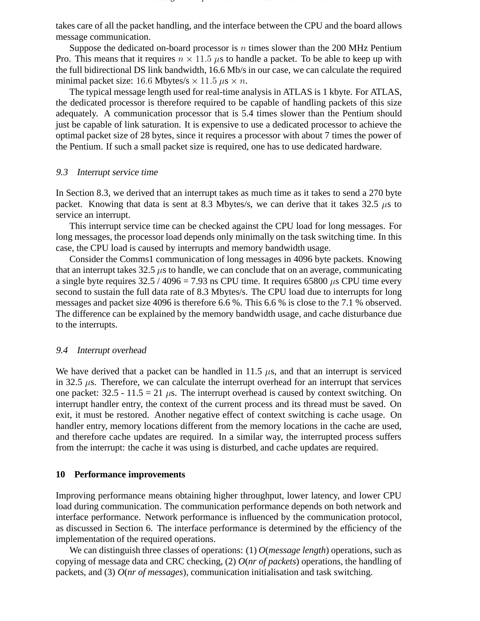takes care of all the packet handling, and the interface between the CPU and the board allows message communication.

Suppose the dedicated on-board processor is  $n$  times slower than the 200 MHz Pentium Pro. This means that it requires  $n \times 11.5 \mu s$  to handle a packet. To be able to keep up with the full bidirectional DS link bandwidth, 16.6 Mb/s in our case, we can calculate the required minimal packet size: 16.6 Mbytes/s  $\times$  11.5  $\mu$ s  $\times$  n.

The typical message length used for real-time analysis in ATLAS is 1 kbyte. For ATLAS, the dedicated processor is therefore required to be capable of handling packets of this size adequately. A communication processor that is 5.4 times slower than the Pentium should just be capable of link saturation. It is expensive to use a dedicated processor to achieve the optimal packet size of 28 bytes, since it requires a processor with about 7 times the power of the Pentium. If such a small packet size is required, one has to use dedicated hardware.

### 9.3 Interrupt service time

In Section 8.3, we derived that an interrupt takes as much time as it takes to send a 270 byte packet. Knowing that data is sent at 8.3 Mbytes/s, we can derive that it takes 32.5  $\mu$ s to service an interrupt.

This interrupt service time can be checked against the CPU load for long messages. For long messages, the processor load depends only minimally on the task switching time. In this case, the CPU load is caused by interrupts and memory bandwidth usage.

Consider the Comms1 communication of long messages in 4096 byte packets. Knowing that an interrupt takes  $32.5 \mu s$  to handle, we can conclude that on an average, communicating a single byte requires  $32.5 / 4096 = 7.93$  ns CPU time. It requires 65800  $\mu$ s CPU time every second to sustain the full data rate of 8.3 Mbytes/s. The CPU load due to interrupts for long messages and packet size 4096 is therefore 6.6 %. This 6.6 % is close to the 7.1 % observed. The difference can be explained by the memory bandwidth usage, and cache disturbance due to the interrupts.

## 9.4 Interrupt overhead

We have derived that a packet can be handled in 11.5  $\mu$ s, and that an interrupt is serviced in 32.5  $\mu$ s. Therefore, we can calculate the interrupt overhead for an interrupt that services one packet:  $32.5 - 11.5 = 21 \mu s$ . The interrupt overhead is caused by context switching. On interrupt handler entry, the context of the current process and its thread must be saved. On exit, it must be restored. Another negative effect of context switching is cache usage. On handler entry, memory locations different from the memory locations in the cache are used, and therefore cache updates are required. In a similar way, the interrupted process suffers from the interrupt: the cache it was using is disturbed, and cache updates are required.

## **10 Performance improvements**

Improving performance means obtaining higher throughput, lower latency, and lower CPU load during communication. The communication performance depends on both network and interface performance. Network performance is influenced by the communication protocol, as discussed in Section 6. The interface performance is determined by the efficiency of the implementation of the required operations.

We can distinguish three classes of operations: (1) *O*(*message length*) operations, such as copying of message data and CRC checking, (2) *O*(*nr of packets*) operations, the handling of packets, and (3) *O*(*nr of messages*), communication initialisation and task switching.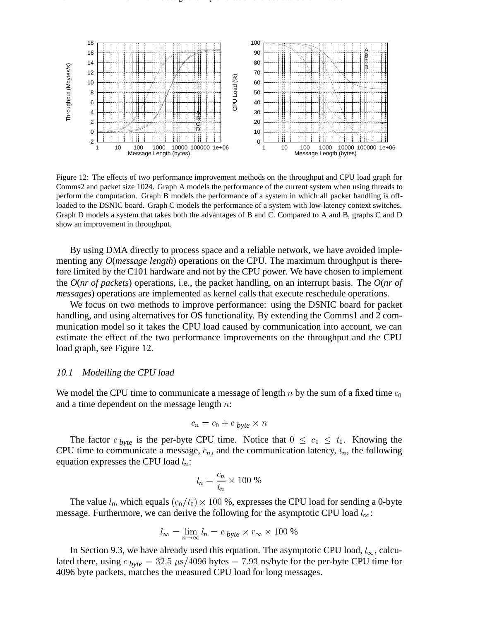![](_page_40_Figure_1.jpeg)

Figure 12: The effects of two performance improvement methods on the throughput and CPU load graph for Comms2 and packet size 1024. Graph A models the performance of the current system when using threads to perform the computation. Graph B models the performance of a system in which all packet handling is offloaded to the DSNIC board. Graph C models the performance of a system with low-latency context switches. Graph D models a system that takes both the advantages of B and C. Compared to A and B, graphs C and D show an improvement in throughput.

By using DMA directly to process space and a reliable network, we have avoided implementing any *O*(*message length*) operations on the CPU. The maximum throughput is therefore limited by the C101 hardware and not by the CPU power. We have chosen to implement the *O*(*nr of packets*) operations, i.e., the packet handling, on an interrupt basis. The *O*(*nr of messages*) operations are implemented as kernel calls that execute reschedule operations.

We focus on two methods to improve performance: using the DSNIC board for packet handling, and using alternatives for OS functionality. By extending the Comms1 and 2 communication model so it takes the CPU load caused by communication into account, we can estimate the effect of the two performance improvements on the throughput and the CPU load graph, see Figure 12.

#### 10.1 Modelling the CPU load

We model the CPU time to communicate a message of length  $n$  by the sum of a fixed time  $c_0$ and a time dependent on the message length  $n$ :

$$
c_n = c_0 + c_{byte} \times n
$$

The factor  $c_{byte}$  is the per-byte CPU time. Notice that  $0 \le c_0 \le t_0$ . Knowing the CPU time to communicate a message,  $c_n$ , and the communication latency,  $t_n$ , the following equation expresses the CPU load  $l_n$ :

$$
l_n = \frac{c_n}{t_n} \times 100\%
$$

The value  $l_0$ , which equals  $(c_0/t_0) \times 100$  %, expresses the CPU load for sending a 0-byte message. Furthermore, we can derive the following for the asymptotic CPU load  $l_{\infty}$ :

$$
l_{\infty} = \lim_{n \to \infty} l_n = c_{\text{byte}} \times r_{\infty} \times 100 \%
$$

In Section 9.3, we have already used this equation. The asymptotic CPU load,  $l_{\infty}$ , calculated there, using  $c_{byte} = 32.5 \ \mu s/4096$  bytes  $= 7.93$  ns/byte for the per-byte CPU time for 4096 byte packets, matches the measured CPU load for long messages.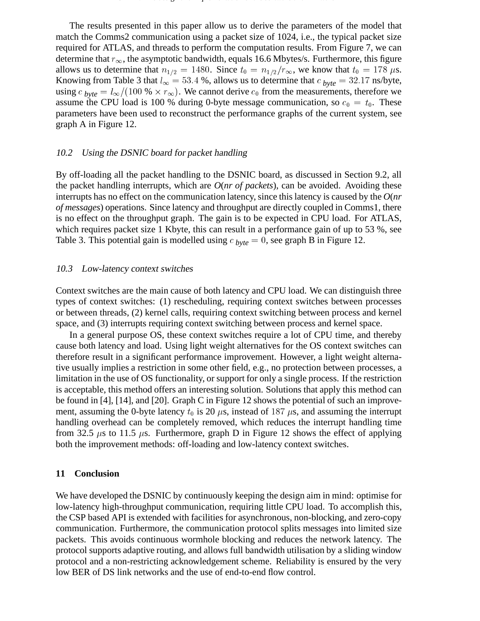The results presented in this paper allow us to derive the parameters of the model that match the Comms2 communication using a packet size of 1024, i.e., the typical packet size required for ATLAS, and threads to perform the computation results. From Figure 7, we can determine that  $r_{\infty}$ , the asymptotic bandwidth, equals 16.6 Mbytes/s. Furthermore, this figure allows us to determine that  $n_{1/2} = 1480$ . Since  $t_0 = n_{1/2}/r_\infty$ , we know that  $t_0 = 178 \mu s$ . Knowing from Table 3 that  $l_{\infty} = 53.4$  %, allows us to determine that  $c_{byte} = 32.17$  ns/byte, using  $c_{byte} = l_{\infty}/(100 % \times r_{\infty})$ . We cannot derive  $c_0$  from the measurements, therefore we assume the CPU load is 100 % during 0-byte message communication, so  $c_0 = t_0$ . These parameters have been used to reconstruct the performance graphs of the current system, see graph A in Figure 12.

#### 10.2 Using the DSNIC board for packet handling

By off-loading all the packet handling to the DSNIC board, as discussed in Section 9.2, all the packet handling interrupts, which are *O*(*nr of packets*), can be avoided. Avoiding these interrupts has no effect on the communication latency, since this latency is caused by the *O*(*nr of messages*) operations. Since latency and throughput are directly coupled in Comms1, there is no effect on the throughput graph. The gain is to be expected in CPU load. For ATLAS, which requires packet size 1 Kbyte, this can result in a performance gain of up to 53 %, see Table 3. This potential gain is modelled using  $c_{byte} = 0$ , see graph B in Figure 12.

#### 10.3 Low-latency context switches

Context switches are the main cause of both latency and CPU load. We can distinguish three types of context switches: (1) rescheduling, requiring context switches between processes or between threads, (2) kernel calls, requiring context switching between process and kernel space, and (3) interrupts requiring context switching between process and kernel space.

In a general purpose OS, these context switches require a lot of CPU time, and thereby cause both latency and load. Using light weight alternatives for the OS context switches can therefore result in a significant performance improvement. However, a light weight alternative usually implies a restriction in some other field, e.g., no protection between processes, a limitation in the use of OS functionality, or support for only a single process. If the restriction is acceptable, this method offers an interesting solution. Solutions that apply this method can be found in [4], [14], and [20]. Graph C in Figure 12 shows the potential of such an improvement, assuming the 0-byte latency  $t_0$  is 20  $\mu$ s, instead of 187  $\mu$ s, and assuming the interrupt handling overhead can be completely removed, which reduces the interrupt handling time from 32.5  $\mu$ s to 11.5  $\mu$ s. Furthermore, graph D in Figure 12 shows the effect of applying both the improvement methods: off-loading and low-latency context switches.

#### **11 Conclusion**

We have developed the DSNIC by continuously keeping the design aim in mind: optimise for low-latency high-throughput communication, requiring little CPU load. To accomplish this, the CSP based API is extended with facilities for asynchronous, non-blocking, and zero-copy communication. Furthermore, the communication protocol splits messages into limited size packets. This avoids continuous wormhole blocking and reduces the network latency. The protocol supports adaptive routing, and allows full bandwidth utilisation by a sliding window protocol and a non-restricting acknowledgement scheme. Reliability is ensured by the very low BER of DS link networks and the use of end-to-end flow control.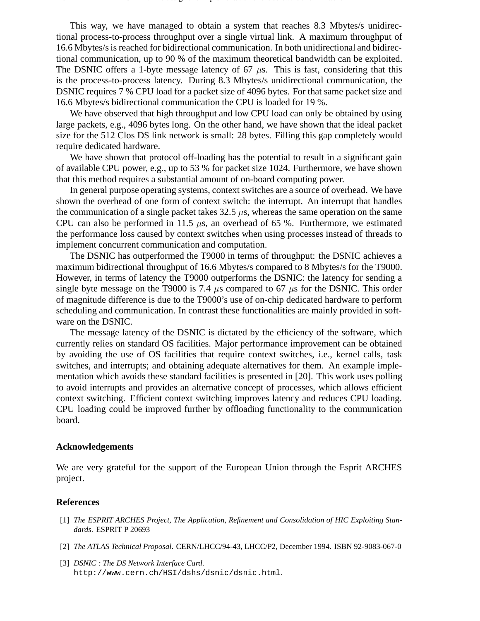This way, we have managed to obtain a system that reaches 8.3 Mbytes/s unidirectional process-to-process throughput over a single virtual link. A maximum throughput of 16.6 Mbytes/s is reached for bidirectional communication. In both unidirectional and bidirectional communication, up to 90 % of the maximum theoretical bandwidth can be exploited. The DSNIC offers a 1-byte message latency of  $67 \mu s$ . This is fast, considering that this is the process-to-process latency. During 8.3 Mbytes/s unidirectional communication, the DSNIC requires 7 % CPU load for a packet size of 4096 bytes. For that same packet size and 16.6 Mbytes/s bidirectional communication the CPU is loaded for 19 %.

We have observed that high throughput and low CPU load can only be obtained by using large packets, e.g., 4096 bytes long. On the other hand, we have shown that the ideal packet size for the 512 Clos DS link network is small: 28 bytes. Filling this gap completely would require dedicated hardware.

We have shown that protocol off-loading has the potential to result in a significant gain of available CPU power, e.g., up to 53 % for packet size 1024. Furthermore, we have shown that this method requires a substantial amount of on-board computing power.

In general purpose operating systems, context switches are a source of overhead. We have shown the overhead of one form of context switch: the interrupt. An interrupt that handles the communication of a single packet takes  $32.5 \mu s$ , whereas the same operation on the same CPU can also be performed in 11.5  $\mu$ s, an overhead of 65 %. Furthermore, we estimated the performance loss caused by context switches when using processes instead of threads to implement concurrent communication and computation.

The DSNIC has outperformed the T9000 in terms of throughput: the DSNIC achieves a maximum bidirectional throughput of 16.6 Mbytes/s compared to 8 Mbytes/s for the T9000. However, in terms of latency the T9000 outperforms the DSNIC: the latency for sending a single byte message on the T9000 is 7.4  $\mu$ s compared to 67  $\mu$ s for the DSNIC. This order of magnitude difference is due to the T9000's use of on-chip dedicated hardware to perform scheduling and communication. In contrast these functionalities are mainly provided in software on the DSNIC.

The message latency of the DSNIC is dictated by the efficiency of the software, which currently relies on standard OS facilities. Major performance improvement can be obtained by avoiding the use of OS facilities that require context switches, i.e., kernel calls, task switches, and interrupts; and obtaining adequate alternatives for them. An example implementation which avoids these standard facilities is presented in [20]. This work uses polling to avoid interrupts and provides an alternative concept of processes, which allows efficient context switching. Efficient context switching improves latency and reduces CPU loading. CPU loading could be improved further by offloading functionality to the communication board.

#### **Acknowledgements**

We are very grateful for the support of the European Union through the Esprit ARCHES project.

#### **References**

- [1] *The ESPRIT ARCHES Project, The Application, Refinement and Consolidation of HIC Exploiting Standards*. ESPRIT P 20693
- [2] *The ATLAS Technical Proposal*. CERN/LHCC/94-43, LHCC/P2, December 1994. ISBN 92-9083-067-0
- [3] *DSNIC : The DS Network Interface Card*. http://www.cern.ch/HSI/dshs/dsnic/dsnic.html.